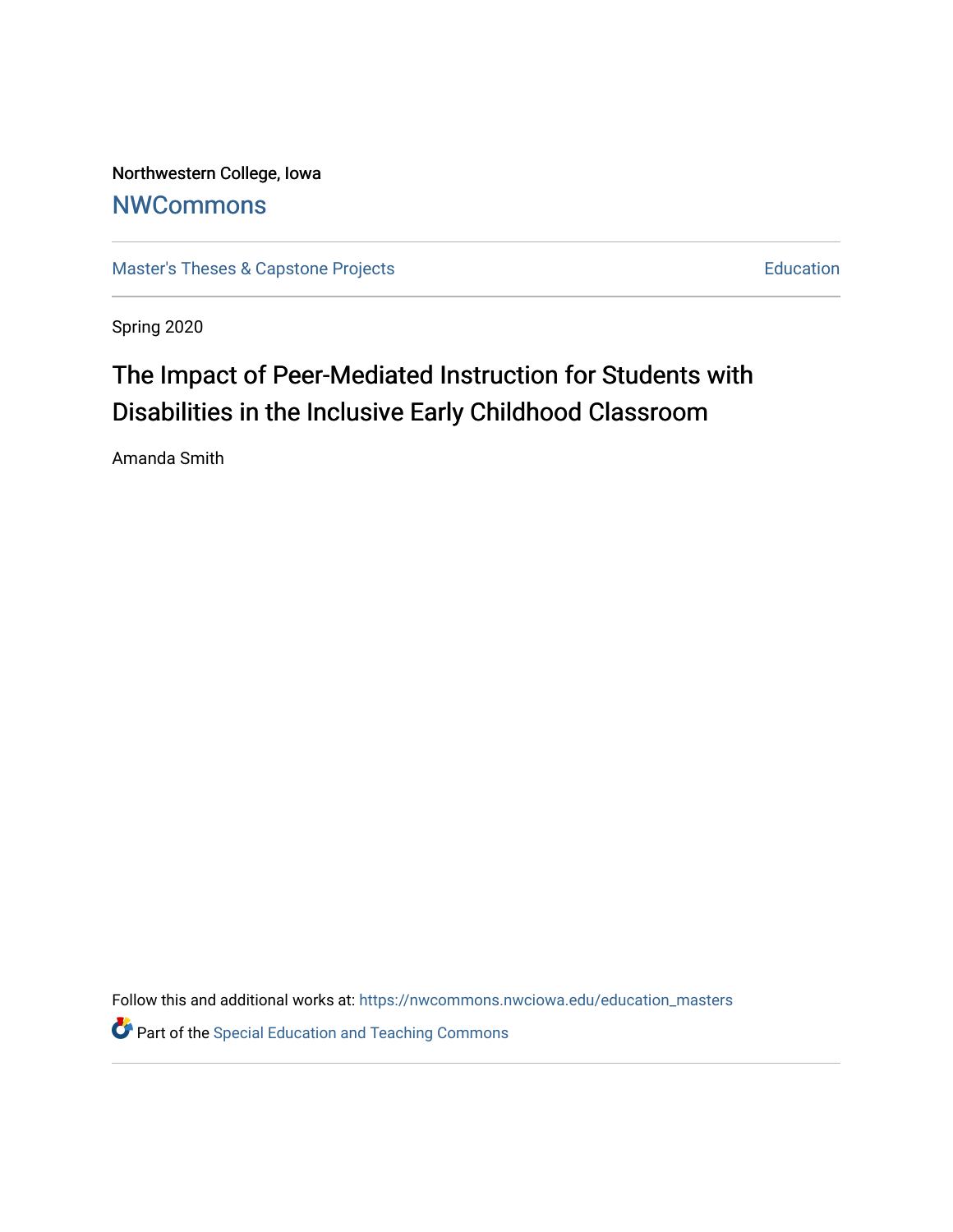Northwestern College, Iowa **[NWCommons](https://nwcommons.nwciowa.edu/)** 

[Master's Theses & Capstone Projects](https://nwcommons.nwciowa.edu/education_masters) **Education** Education

Spring 2020

# The Impact of Peer-Mediated Instruction for Students with Disabilities in the Inclusive Early Childhood Classroom

Amanda Smith

Follow this and additional works at: [https://nwcommons.nwciowa.edu/education\\_masters](https://nwcommons.nwciowa.edu/education_masters?utm_source=nwcommons.nwciowa.edu%2Feducation_masters%2F223&utm_medium=PDF&utm_campaign=PDFCoverPages)

**P** Part of the Special Education and Teaching Commons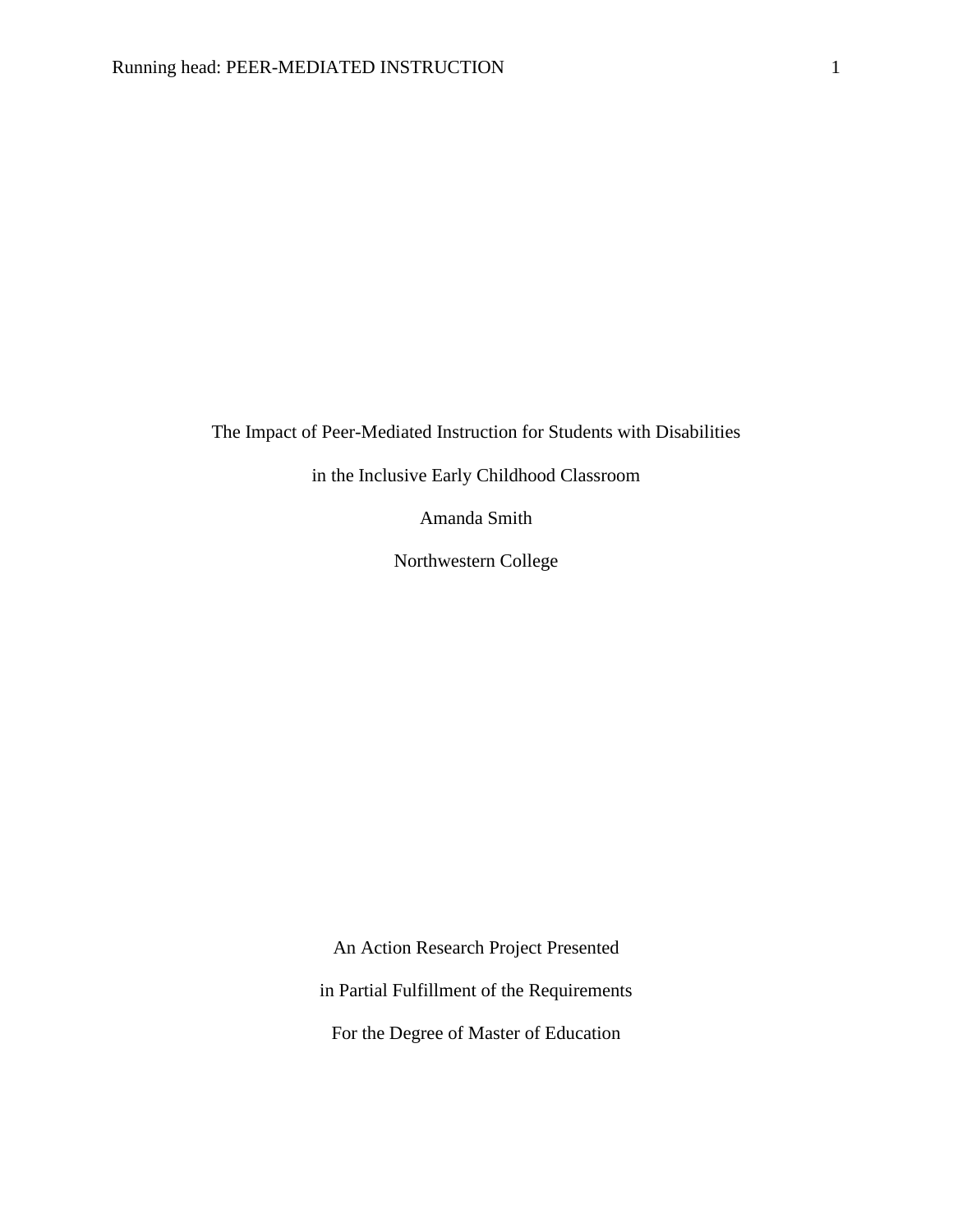The Impact of Peer-Mediated Instruction for Students with Disabilities

in the Inclusive Early Childhood Classroom

Amanda Smith

Northwestern College

An Action Research Project Presented

in Partial Fulfillment of the Requirements

For the Degree of Master of Education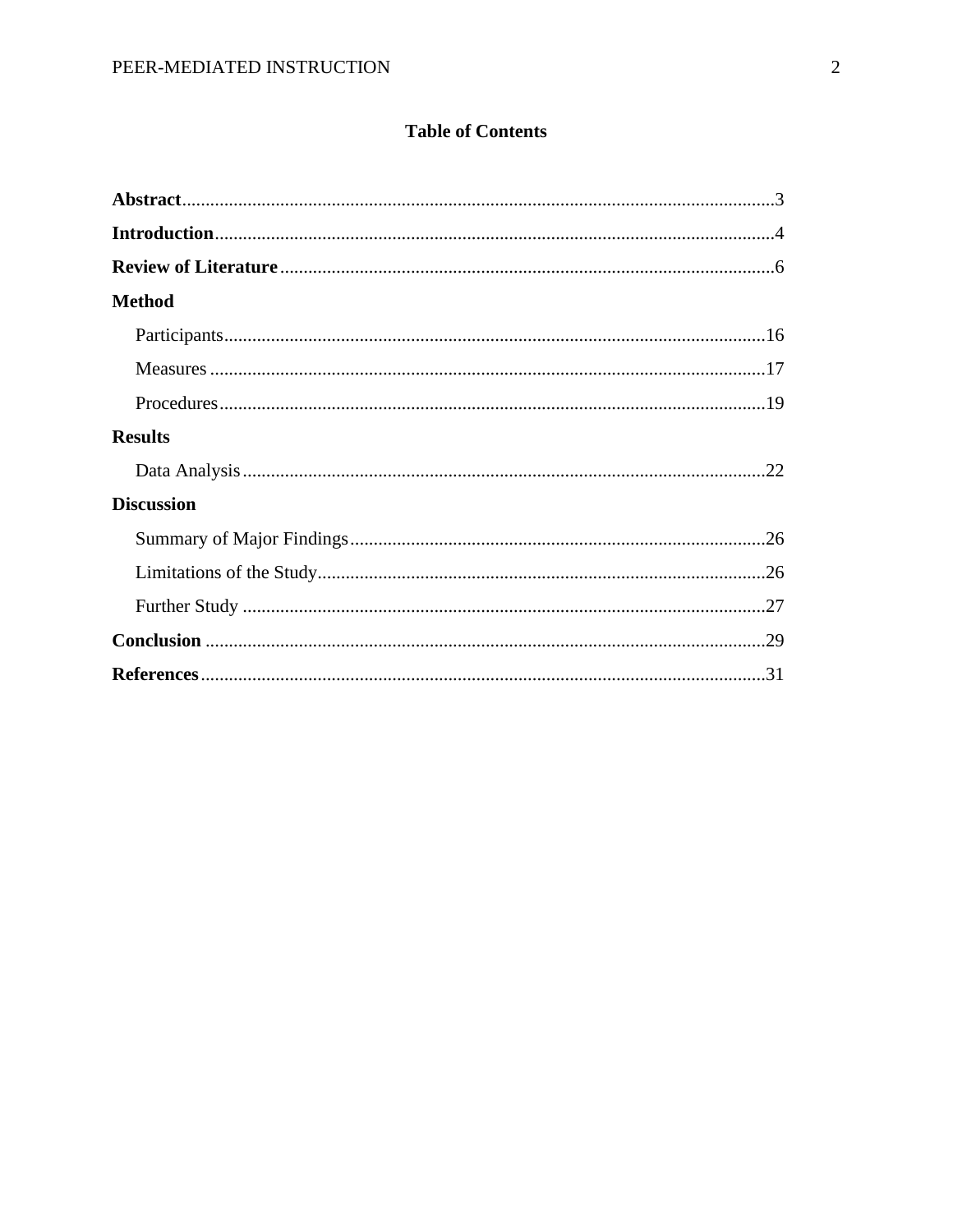### **Table of Contents**

| <b>Method</b>     |  |
|-------------------|--|
|                   |  |
|                   |  |
|                   |  |
| <b>Results</b>    |  |
|                   |  |
| <b>Discussion</b> |  |
|                   |  |
|                   |  |
|                   |  |
|                   |  |
|                   |  |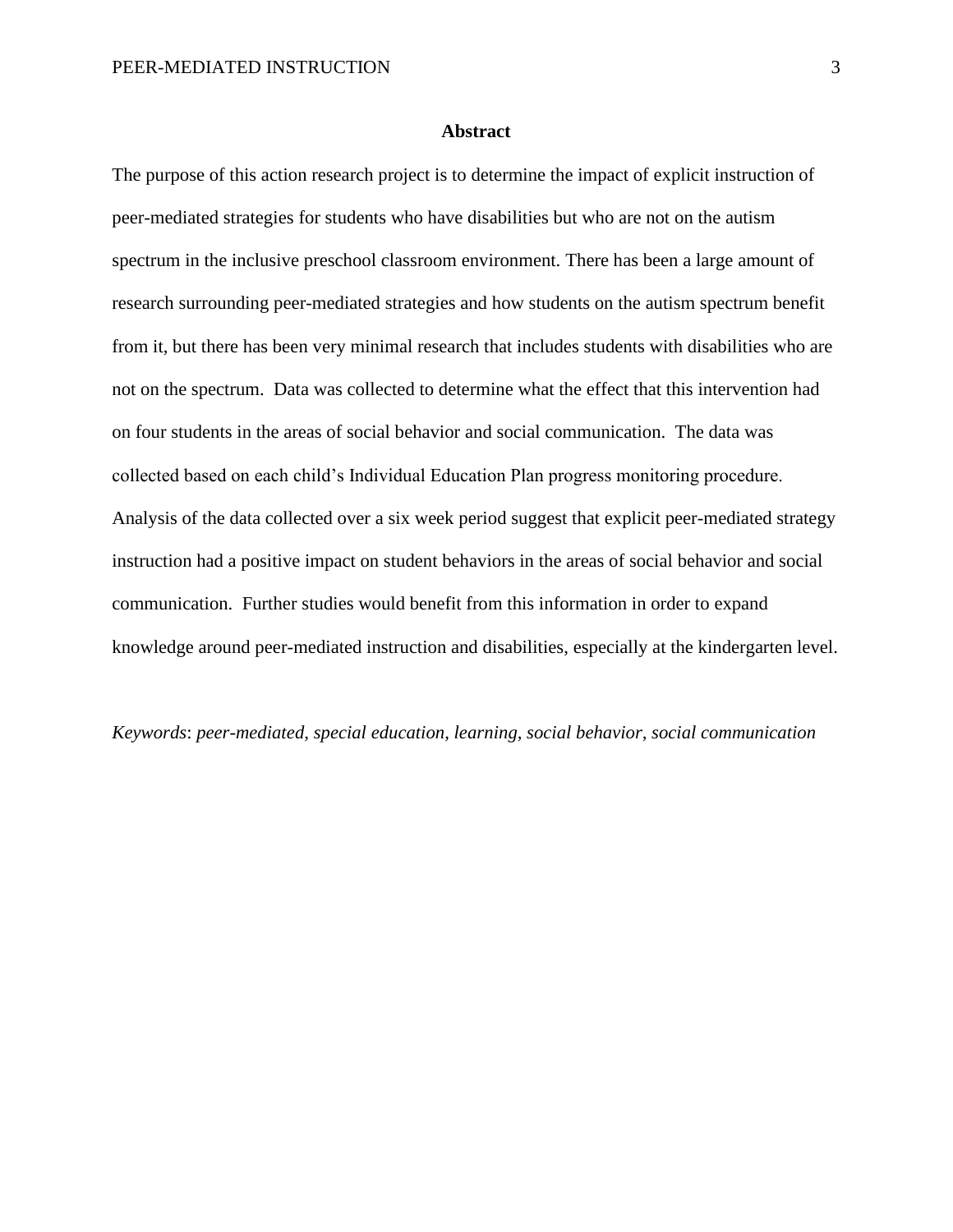#### **Abstract**

The purpose of this action research project is to determine the impact of explicit instruction of peer-mediated strategies for students who have disabilities but who are not on the autism spectrum in the inclusive preschool classroom environment. There has been a large amount of research surrounding peer-mediated strategies and how students on the autism spectrum benefit from it, but there has been very minimal research that includes students with disabilities who are not on the spectrum. Data was collected to determine what the effect that this intervention had on four students in the areas of social behavior and social communication. The data was collected based on each child's Individual Education Plan progress monitoring procedure. Analysis of the data collected over a six week period suggest that explicit peer-mediated strategy instruction had a positive impact on student behaviors in the areas of social behavior and social communication. Further studies would benefit from this information in order to expand knowledge around peer-mediated instruction and disabilities, especially at the kindergarten level.

*Keywords*: *peer-mediated, special education, learning, social behavior, social communication*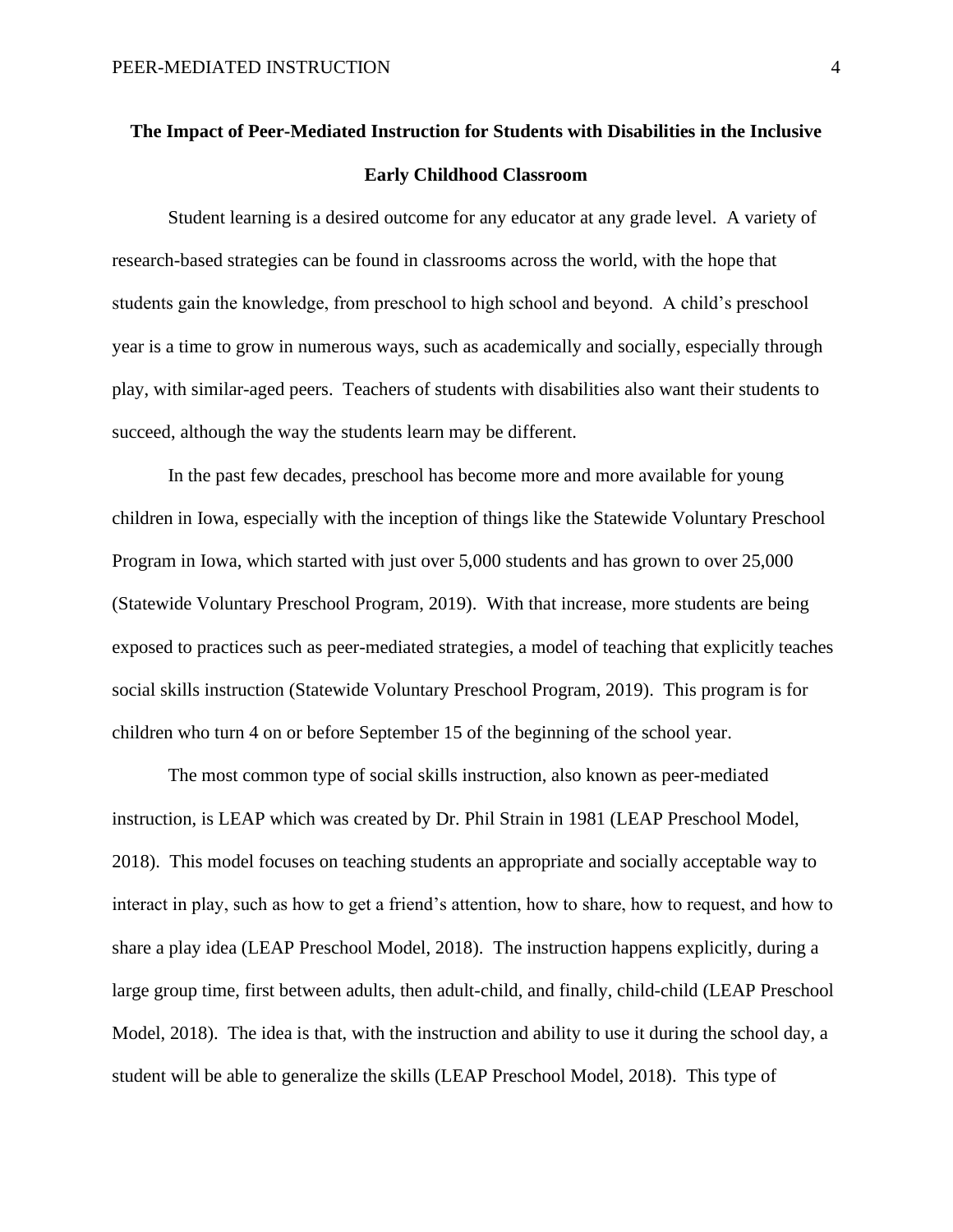## **The Impact of Peer-Mediated Instruction for Students with Disabilities in the Inclusive Early Childhood Classroom**

Student learning is a desired outcome for any educator at any grade level. A variety of research-based strategies can be found in classrooms across the world, with the hope that students gain the knowledge, from preschool to high school and beyond. A child's preschool year is a time to grow in numerous ways, such as academically and socially, especially through play, with similar-aged peers. Teachers of students with disabilities also want their students to succeed, although the way the students learn may be different.

In the past few decades, preschool has become more and more available for young children in Iowa, especially with the inception of things like the Statewide Voluntary Preschool Program in Iowa, which started with just over 5,000 students and has grown to over 25,000 (Statewide Voluntary Preschool Program, 2019). With that increase, more students are being exposed to practices such as peer-mediated strategies, a model of teaching that explicitly teaches social skills instruction (Statewide Voluntary Preschool Program, 2019). This program is for children who turn 4 on or before September 15 of the beginning of the school year.

The most common type of social skills instruction, also known as peer-mediated instruction, is LEAP which was created by Dr. Phil Strain in 1981 (LEAP Preschool Model, 2018). This model focuses on teaching students an appropriate and socially acceptable way to interact in play, such as how to get a friend's attention, how to share, how to request, and how to share a play idea (LEAP Preschool Model, 2018). The instruction happens explicitly, during a large group time, first between adults, then adult-child, and finally, child-child (LEAP Preschool Model, 2018). The idea is that, with the instruction and ability to use it during the school day, a student will be able to generalize the skills (LEAP Preschool Model, 2018). This type of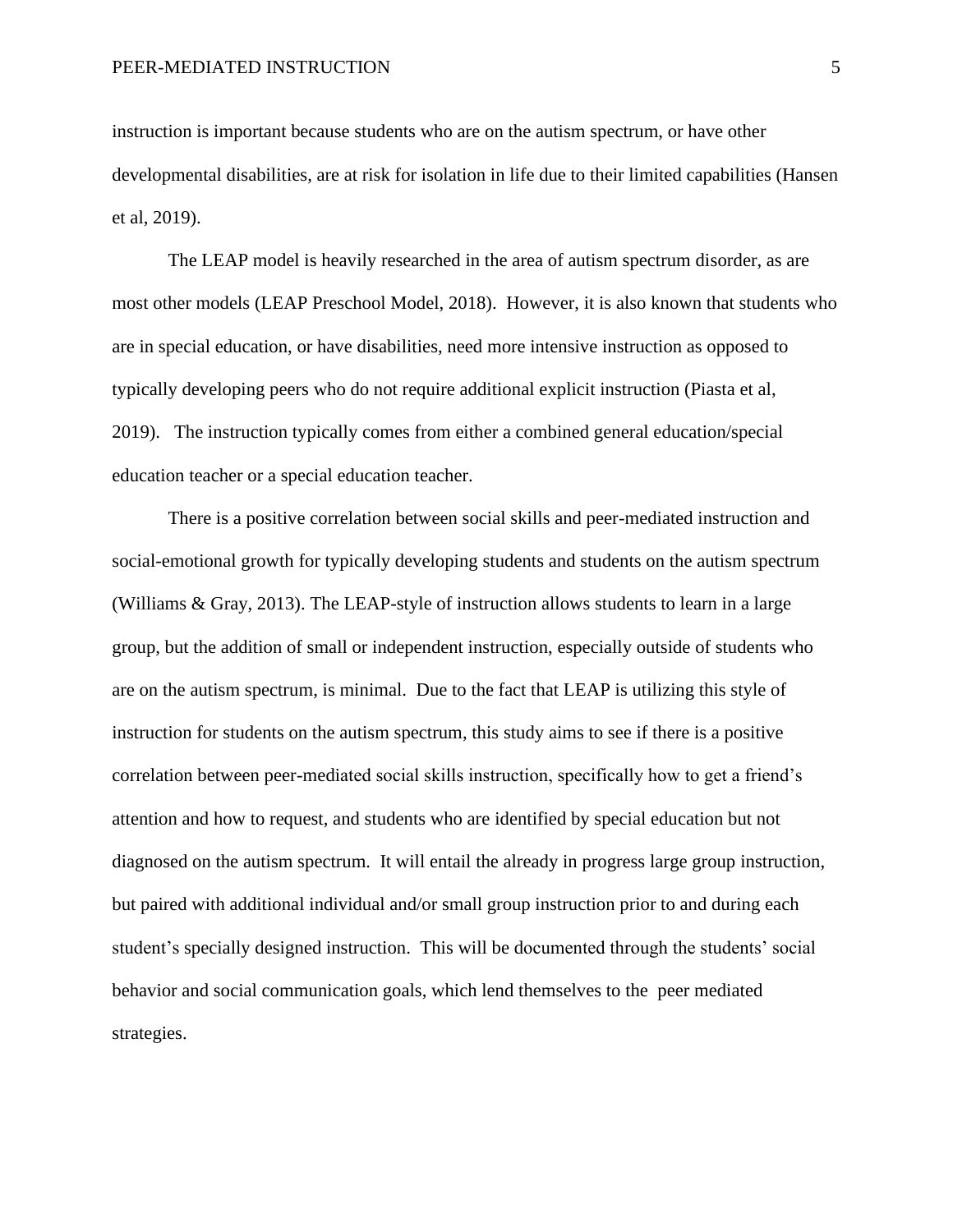instruction is important because students who are on the autism spectrum, or have other developmental disabilities, are at risk for isolation in life due to their limited capabilities (Hansen et al, 2019).

The LEAP model is heavily researched in the area of autism spectrum disorder, as are most other models (LEAP Preschool Model, 2018). However, it is also known that students who are in special education, or have disabilities, need more intensive instruction as opposed to typically developing peers who do not require additional explicit instruction (Piasta et al, 2019). The instruction typically comes from either a combined general education/special education teacher or a special education teacher.

There is a positive correlation between social skills and peer-mediated instruction and social-emotional growth for typically developing students and students on the autism spectrum (Williams & Gray, 2013). The LEAP-style of instruction allows students to learn in a large group, but the addition of small or independent instruction, especially outside of students who are on the autism spectrum, is minimal. Due to the fact that LEAP is utilizing this style of instruction for students on the autism spectrum, this study aims to see if there is a positive correlation between peer-mediated social skills instruction, specifically how to get a friend's attention and how to request, and students who are identified by special education but not diagnosed on the autism spectrum. It will entail the already in progress large group instruction, but paired with additional individual and/or small group instruction prior to and during each student's specially designed instruction. This will be documented through the students' social behavior and social communication goals, which lend themselves to the peer mediated strategies.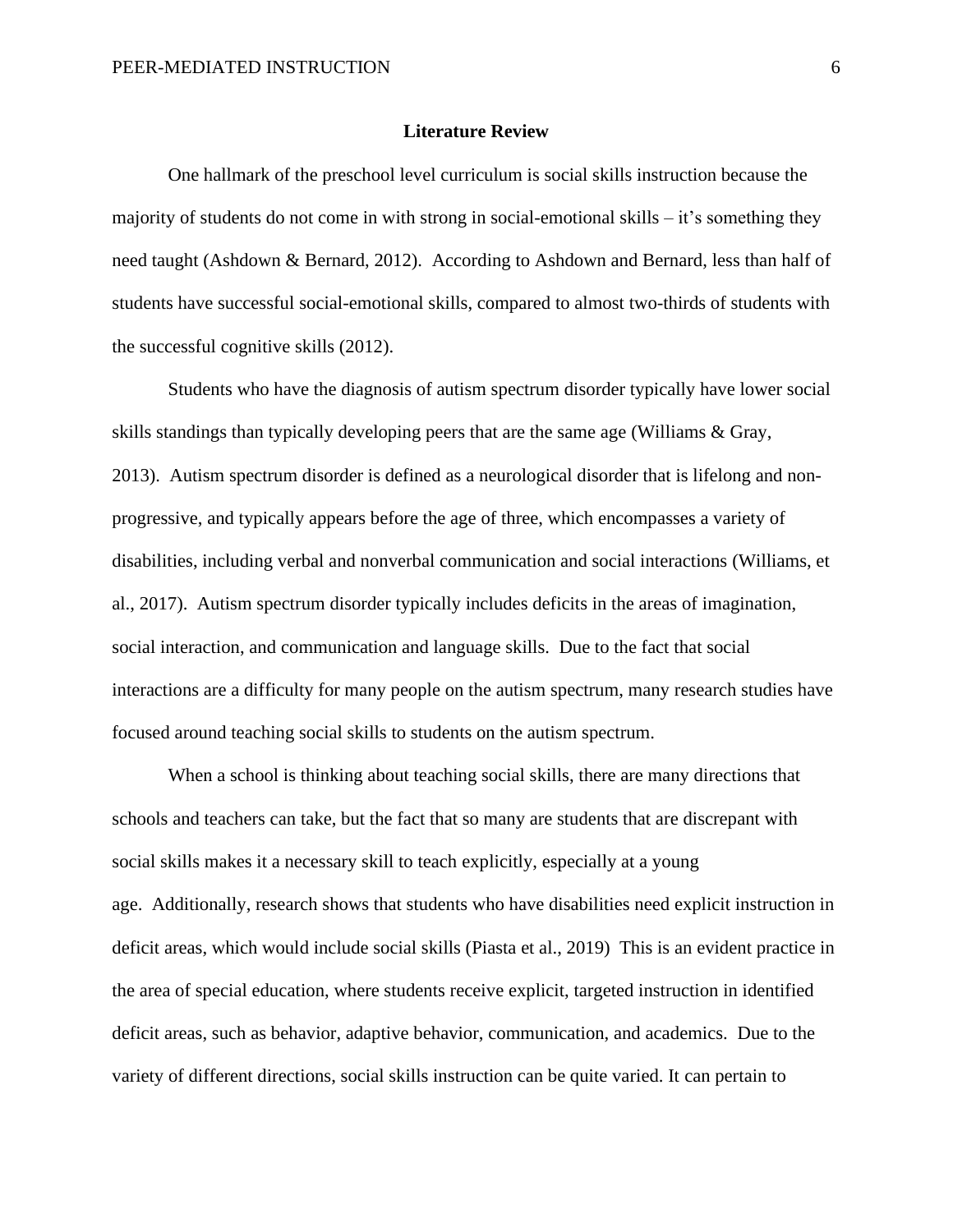#### **Literature Review**

One hallmark of the preschool level curriculum is social skills instruction because the majority of students do not come in with strong in social-emotional skills  $-$  it's something they need taught (Ashdown & Bernard, 2012). According to Ashdown and Bernard, less than half of students have successful social-emotional skills, compared to almost two-thirds of students with the successful cognitive skills (2012).

Students who have the diagnosis of autism spectrum disorder typically have lower social skills standings than typically developing peers that are the same age (Williams & Gray, 2013). Autism spectrum disorder is defined as a neurological disorder that is lifelong and nonprogressive, and typically appears before the age of three, which encompasses a variety of disabilities, including verbal and nonverbal communication and social interactions (Williams, et al., 2017). Autism spectrum disorder typically includes deficits in the areas of imagination, social interaction, and communication and language skills. Due to the fact that social interactions are a difficulty for many people on the autism spectrum, many research studies have focused around teaching social skills to students on the autism spectrum.

When a school is thinking about teaching social skills, there are many directions that schools and teachers can take, but the fact that so many are students that are discrepant with social skills makes it a necessary skill to teach explicitly, especially at a young age. Additionally, research shows that students who have disabilities need explicit instruction in deficit areas, which would include social skills (Piasta et al., 2019) This is an evident practice in the area of special education, where students receive explicit, targeted instruction in identified deficit areas, such as behavior, adaptive behavior, communication, and academics. Due to the variety of different directions, social skills instruction can be quite varied. It can pertain to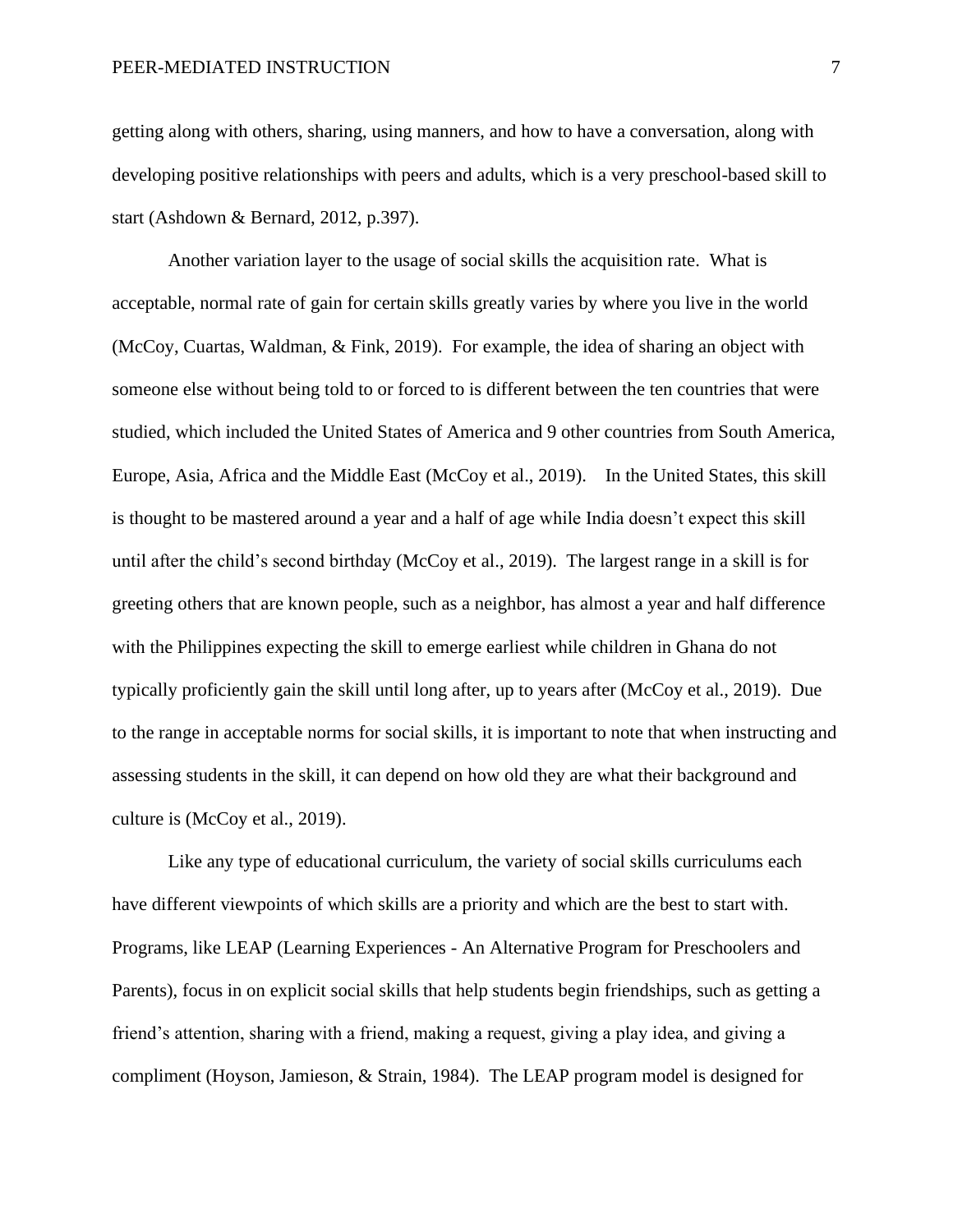getting along with others, sharing, using manners, and how to have a conversation, along with developing positive relationships with peers and adults, which is a very preschool-based skill to start (Ashdown & Bernard, 2012, p.397).

Another variation layer to the usage of social skills the acquisition rate. What is acceptable, normal rate of gain for certain skills greatly varies by where you live in the world (McCoy, Cuartas, Waldman, & Fink, 2019). For example, the idea of sharing an object with someone else without being told to or forced to is different between the ten countries that were studied, which included the United States of America and 9 other countries from South America, Europe, Asia, Africa and the Middle East (McCoy et al., 2019). In the United States, this skill is thought to be mastered around a year and a half of age while India doesn't expect this skill until after the child's second birthday (McCoy et al., 2019). The largest range in a skill is for greeting others that are known people, such as a neighbor, has almost a year and half difference with the Philippines expecting the skill to emerge earliest while children in Ghana do not typically proficiently gain the skill until long after, up to years after (McCoy et al., 2019). Due to the range in acceptable norms for social skills, it is important to note that when instructing and assessing students in the skill, it can depend on how old they are what their background and culture is (McCoy et al., 2019).

Like any type of educational curriculum, the variety of social skills curriculums each have different viewpoints of which skills are a priority and which are the best to start with. Programs, like LEAP (Learning Experiences - An Alternative Program for Preschoolers and Parents), focus in on explicit social skills that help students begin friendships, such as getting a friend's attention, sharing with a friend, making a request, giving a play idea, and giving a compliment (Hoyson, Jamieson, & Strain, 1984). The LEAP program model is designed for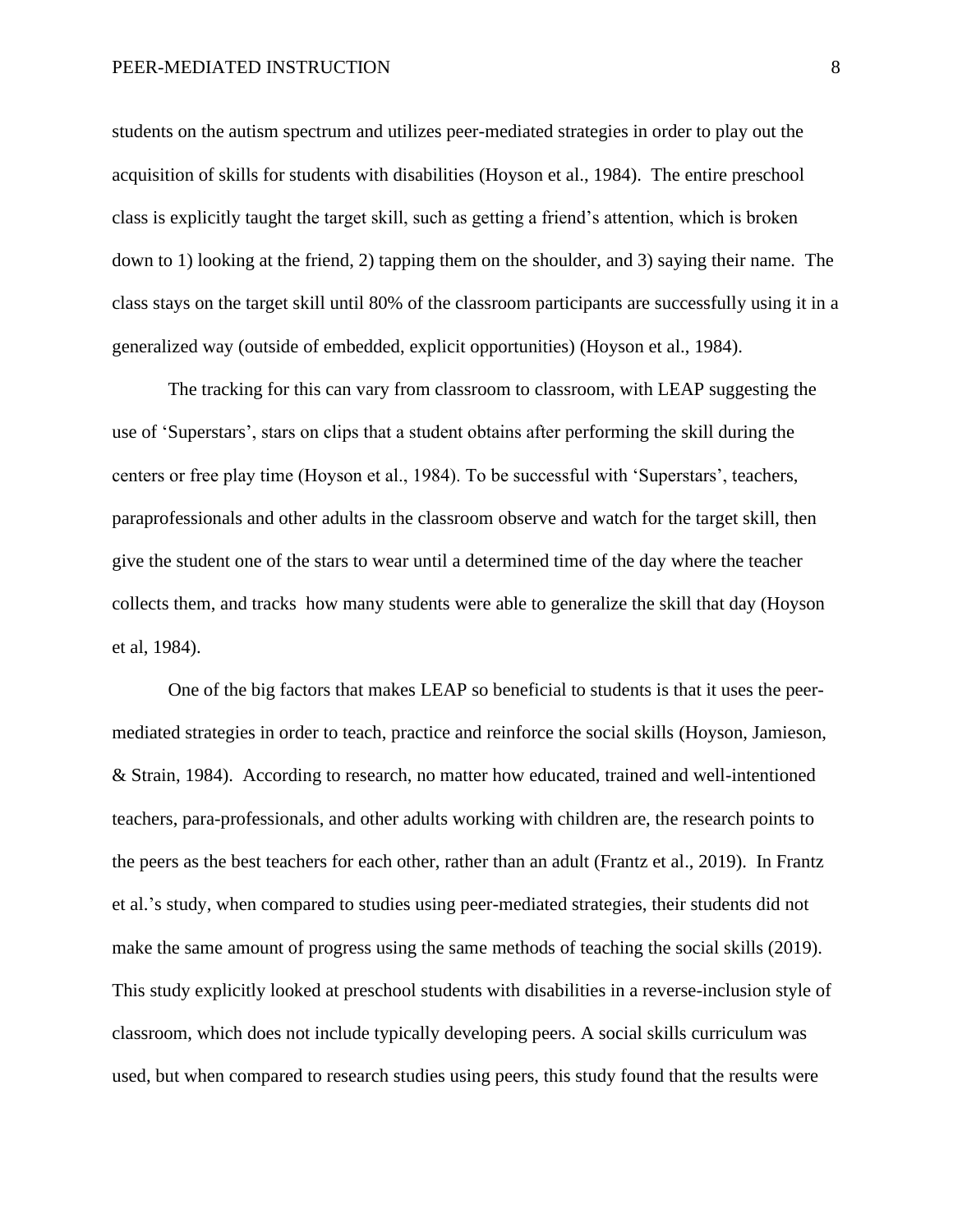#### PEER-MEDIATED INSTRUCTION 8

students on the autism spectrum and utilizes peer-mediated strategies in order to play out the acquisition of skills for students with disabilities (Hoyson et al., 1984). The entire preschool class is explicitly taught the target skill, such as getting a friend's attention, which is broken down to 1) looking at the friend, 2) tapping them on the shoulder, and 3) saying their name. The class stays on the target skill until 80% of the classroom participants are successfully using it in a generalized way (outside of embedded, explicit opportunities) (Hoyson et al., 1984).

The tracking for this can vary from classroom to classroom, with LEAP suggesting the use of 'Superstars', stars on clips that a student obtains after performing the skill during the centers or free play time (Hoyson et al., 1984). To be successful with 'Superstars', teachers, paraprofessionals and other adults in the classroom observe and watch for the target skill, then give the student one of the stars to wear until a determined time of the day where the teacher collects them, and tracks how many students were able to generalize the skill that day (Hoyson et al, 1984).

One of the big factors that makes LEAP so beneficial to students is that it uses the peermediated strategies in order to teach, practice and reinforce the social skills (Hoyson, Jamieson, & Strain, 1984). According to research, no matter how educated, trained and well-intentioned teachers, para-professionals, and other adults working with children are, the research points to the peers as the best teachers for each other, rather than an adult (Frantz et al., 2019). In Frantz et al.'s study, when compared to studies using peer-mediated strategies, their students did not make the same amount of progress using the same methods of teaching the social skills (2019). This study explicitly looked at preschool students with disabilities in a reverse-inclusion style of classroom, which does not include typically developing peers. A social skills curriculum was used, but when compared to research studies using peers, this study found that the results were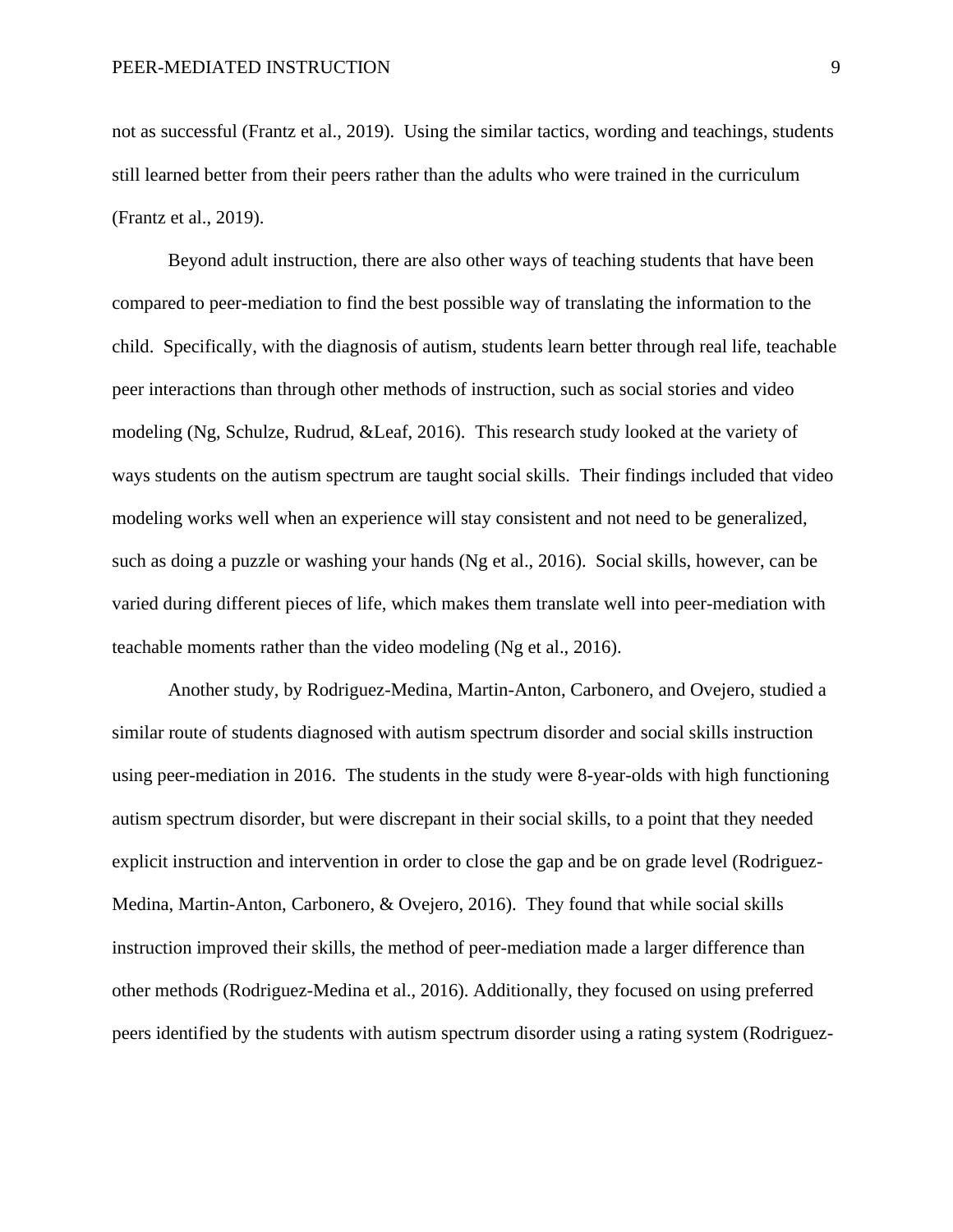not as successful (Frantz et al., 2019). Using the similar tactics, wording and teachings, students still learned better from their peers rather than the adults who were trained in the curriculum (Frantz et al., 2019).

Beyond adult instruction, there are also other ways of teaching students that have been compared to peer-mediation to find the best possible way of translating the information to the child. Specifically, with the diagnosis of autism, students learn better through real life, teachable peer interactions than through other methods of instruction, such as social stories and video modeling (Ng, Schulze, Rudrud, &Leaf, 2016). This research study looked at the variety of ways students on the autism spectrum are taught social skills. Their findings included that video modeling works well when an experience will stay consistent and not need to be generalized, such as doing a puzzle or washing your hands (Ng et al., 2016). Social skills, however, can be varied during different pieces of life, which makes them translate well into peer-mediation with teachable moments rather than the video modeling (Ng et al., 2016).

Another study, by Rodriguez-Medina, Martin-Anton, Carbonero, and Ovejero, studied a similar route of students diagnosed with autism spectrum disorder and social skills instruction using peer-mediation in 2016. The students in the study were 8-year-olds with high functioning autism spectrum disorder, but were discrepant in their social skills, to a point that they needed explicit instruction and intervention in order to close the gap and be on grade level (Rodriguez-Medina, Martin-Anton, Carbonero, & Ovejero, 2016). They found that while social skills instruction improved their skills, the method of peer-mediation made a larger difference than other methods (Rodriguez-Medina et al., 2016). Additionally, they focused on using preferred peers identified by the students with autism spectrum disorder using a rating system (Rodriguez-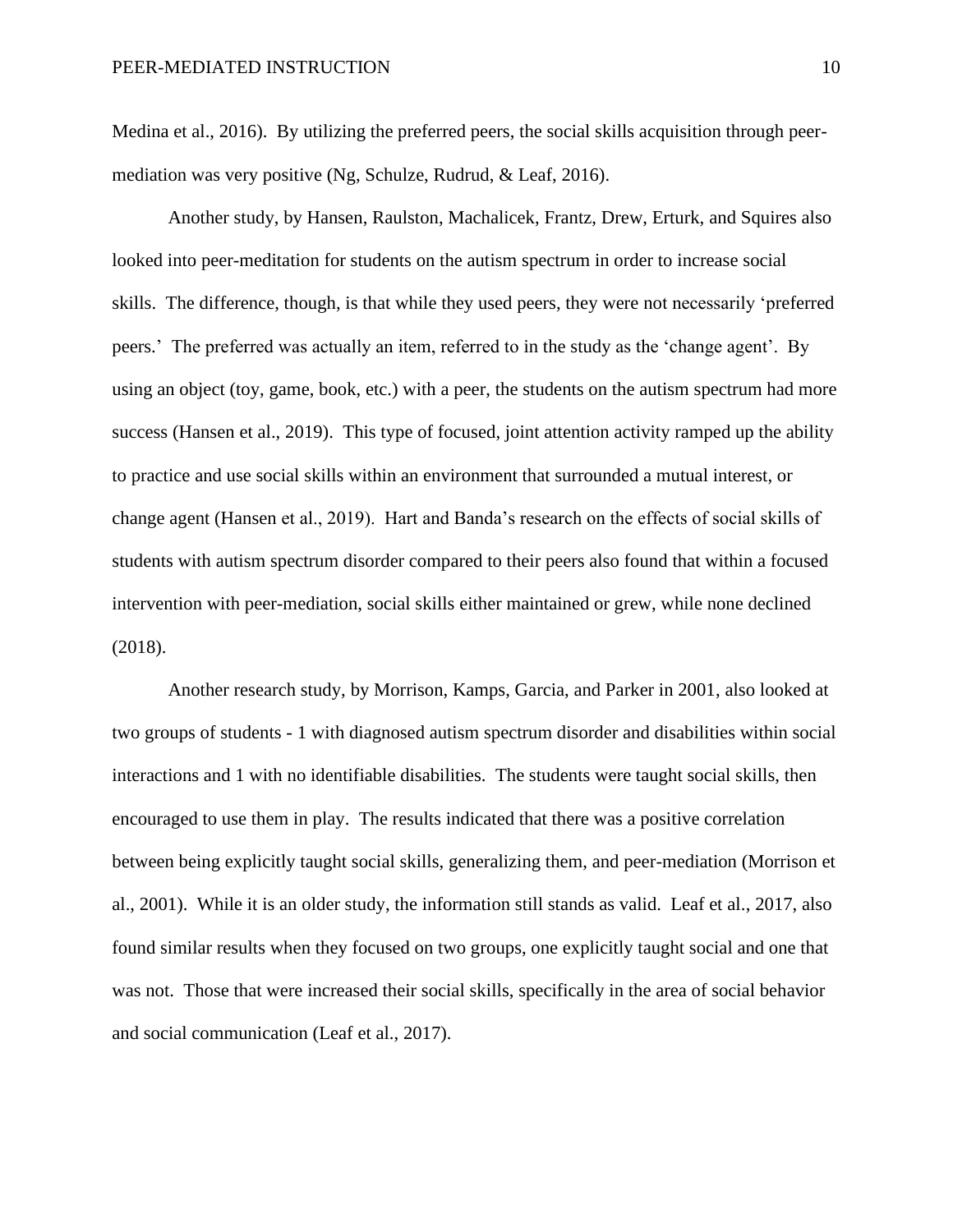Medina et al., 2016). By utilizing the preferred peers, the social skills acquisition through peermediation was very positive (Ng, Schulze, Rudrud, & Leaf, 2016).

Another study, by Hansen, Raulston, Machalicek, Frantz, Drew, Erturk, and Squires also looked into peer-meditation for students on the autism spectrum in order to increase social skills. The difference, though, is that while they used peers, they were not necessarily 'preferred peers.' The preferred was actually an item, referred to in the study as the 'change agent'. By using an object (toy, game, book, etc.) with a peer, the students on the autism spectrum had more success (Hansen et al., 2019). This type of focused, joint attention activity ramped up the ability to practice and use social skills within an environment that surrounded a mutual interest, or change agent (Hansen et al., 2019). Hart and Banda's research on the effects of social skills of students with autism spectrum disorder compared to their peers also found that within a focused intervention with peer-mediation, social skills either maintained or grew, while none declined (2018).

Another research study, by Morrison, Kamps, Garcia, and Parker in 2001, also looked at two groups of students - 1 with diagnosed autism spectrum disorder and disabilities within social interactions and 1 with no identifiable disabilities. The students were taught social skills, then encouraged to use them in play. The results indicated that there was a positive correlation between being explicitly taught social skills, generalizing them, and peer-mediation (Morrison et al., 2001). While it is an older study, the information still stands as valid. Leaf et al., 2017, also found similar results when they focused on two groups, one explicitly taught social and one that was not. Those that were increased their social skills, specifically in the area of social behavior and social communication (Leaf et al., 2017).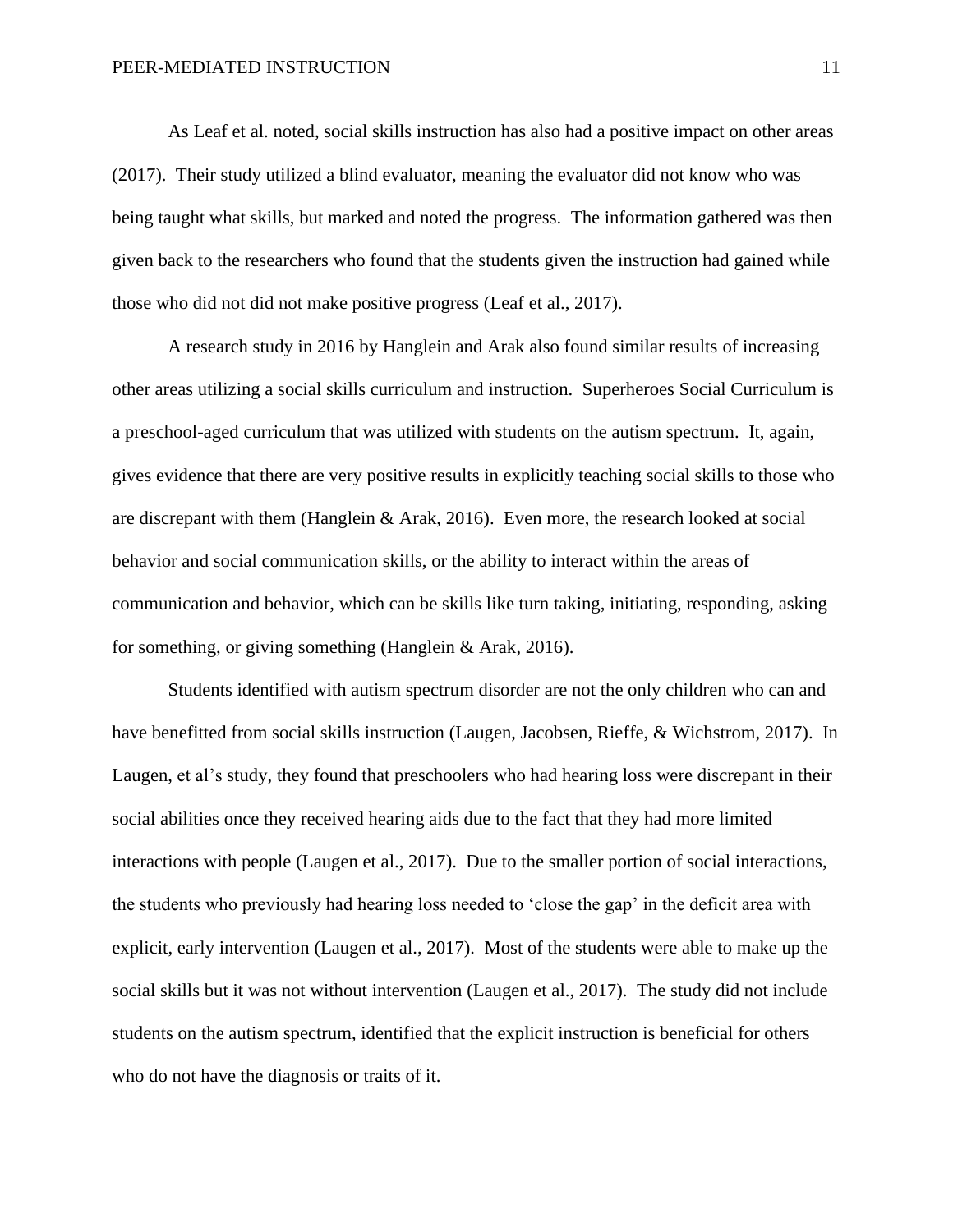As Leaf et al. noted, social skills instruction has also had a positive impact on other areas (2017). Their study utilized a blind evaluator, meaning the evaluator did not know who was being taught what skills, but marked and noted the progress. The information gathered was then given back to the researchers who found that the students given the instruction had gained while those who did not did not make positive progress (Leaf et al., 2017).

A research study in 2016 by Hanglein and Arak also found similar results of increasing other areas utilizing a social skills curriculum and instruction. Superheroes Social Curriculum is a preschool-aged curriculum that was utilized with students on the autism spectrum. It, again, gives evidence that there are very positive results in explicitly teaching social skills to those who are discrepant with them (Hanglein & Arak, 2016). Even more, the research looked at social behavior and social communication skills, or the ability to interact within the areas of communication and behavior, which can be skills like turn taking, initiating, responding, asking for something, or giving something (Hanglein & Arak, 2016).

Students identified with autism spectrum disorder are not the only children who can and have benefitted from social skills instruction (Laugen, Jacobsen, Rieffe, & Wichstrom, 2017). In Laugen, et al's study, they found that preschoolers who had hearing loss were discrepant in their social abilities once they received hearing aids due to the fact that they had more limited interactions with people (Laugen et al., 2017). Due to the smaller portion of social interactions, the students who previously had hearing loss needed to 'close the gap' in the deficit area with explicit, early intervention (Laugen et al., 2017). Most of the students were able to make up the social skills but it was not without intervention (Laugen et al., 2017). The study did not include students on the autism spectrum, identified that the explicit instruction is beneficial for others who do not have the diagnosis or traits of it.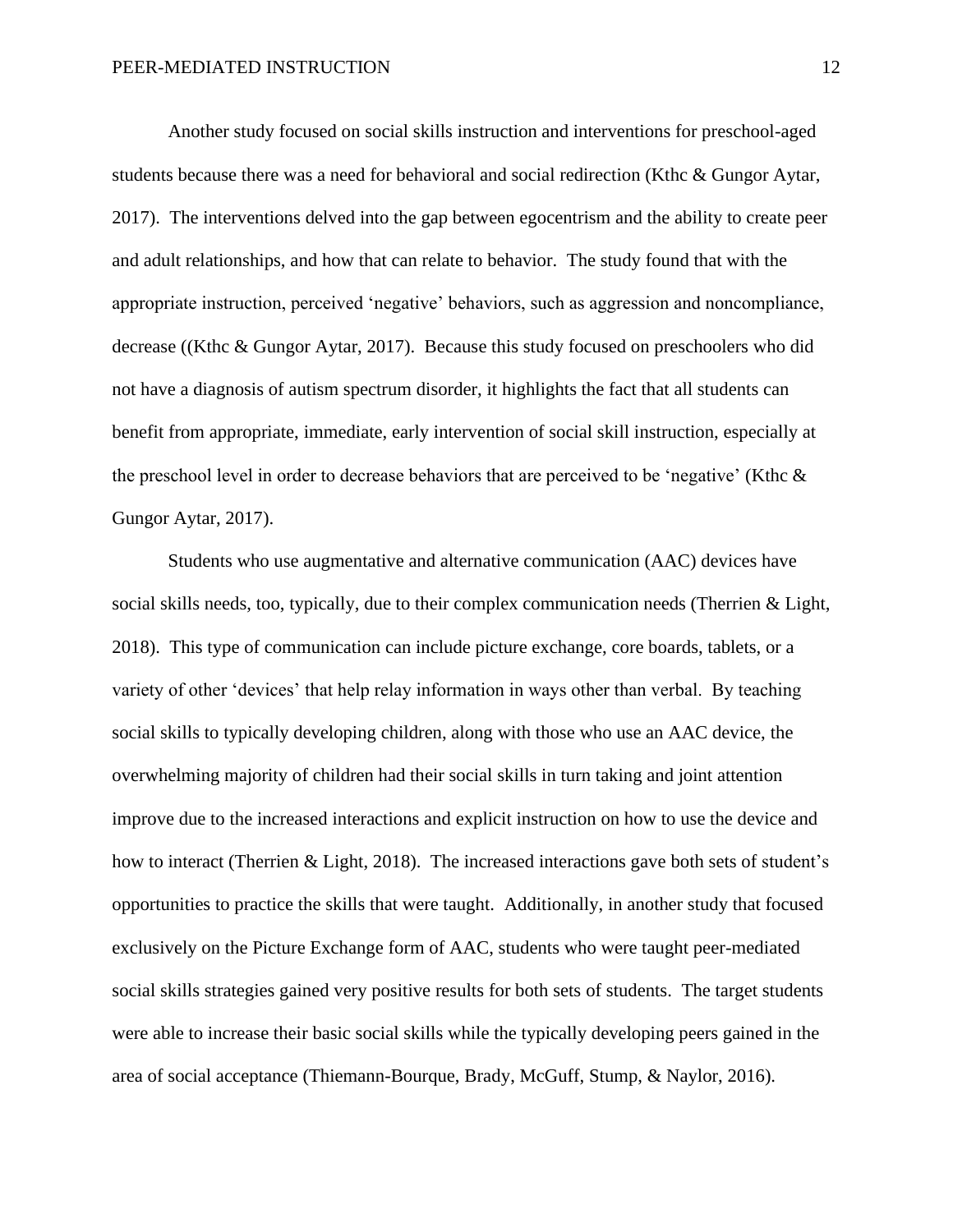Another study focused on social skills instruction and interventions for preschool-aged students because there was a need for behavioral and social redirection (Kthc & Gungor Aytar, 2017). The interventions delved into the gap between egocentrism and the ability to create peer and adult relationships, and how that can relate to behavior. The study found that with the appropriate instruction, perceived 'negative' behaviors, such as aggression and noncompliance, decrease ((Kthc & Gungor Aytar, 2017). Because this study focused on preschoolers who did not have a diagnosis of autism spectrum disorder, it highlights the fact that all students can benefit from appropriate, immediate, early intervention of social skill instruction, especially at the preschool level in order to decrease behaviors that are perceived to be 'negative' (Kthc  $\&$ Gungor Aytar, 2017).

Students who use augmentative and alternative communication (AAC) devices have social skills needs, too, typically, due to their complex communication needs (Therrien & Light, 2018). This type of communication can include picture exchange, core boards, tablets, or a variety of other 'devices' that help relay information in ways other than verbal. By teaching social skills to typically developing children, along with those who use an AAC device, the overwhelming majority of children had their social skills in turn taking and joint attention improve due to the increased interactions and explicit instruction on how to use the device and how to interact (Therrien & Light, 2018). The increased interactions gave both sets of student's opportunities to practice the skills that were taught. Additionally, in another study that focused exclusively on the Picture Exchange form of AAC, students who were taught peer-mediated social skills strategies gained very positive results for both sets of students. The target students were able to increase their basic social skills while the typically developing peers gained in the area of social acceptance (Thiemann-Bourque, Brady, McGuff, Stump, & Naylor, 2016).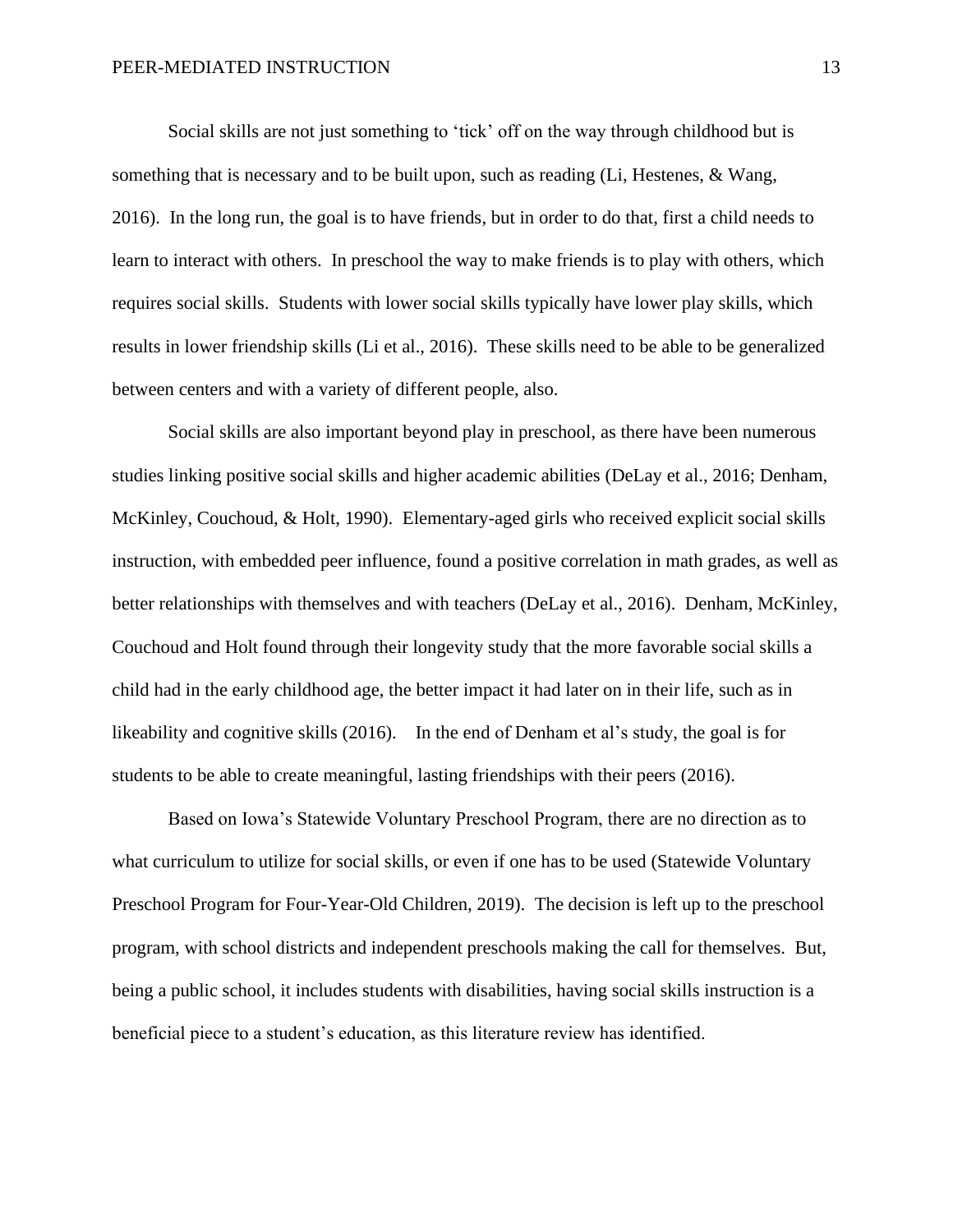Social skills are not just something to 'tick' off on the way through childhood but is something that is necessary and to be built upon, such as reading (Li, Hestenes, & Wang, 2016). In the long run, the goal is to have friends, but in order to do that, first a child needs to learn to interact with others. In preschool the way to make friends is to play with others, which requires social skills. Students with lower social skills typically have lower play skills, which results in lower friendship skills (Li et al., 2016). These skills need to be able to be generalized between centers and with a variety of different people, also.

Social skills are also important beyond play in preschool, as there have been numerous studies linking positive social skills and higher academic abilities (DeLay et al., 2016; Denham, McKinley, Couchoud, & Holt, 1990). Elementary-aged girls who received explicit social skills instruction, with embedded peer influence, found a positive correlation in math grades, as well as better relationships with themselves and with teachers (DeLay et al., 2016). Denham, McKinley, Couchoud and Holt found through their longevity study that the more favorable social skills a child had in the early childhood age, the better impact it had later on in their life, such as in likeability and cognitive skills (2016). In the end of Denham et al's study, the goal is for students to be able to create meaningful, lasting friendships with their peers (2016).

Based on Iowa's Statewide Voluntary Preschool Program, there are no direction as to what curriculum to utilize for social skills, or even if one has to be used (Statewide Voluntary Preschool Program for Four-Year-Old Children, 2019). The decision is left up to the preschool program, with school districts and independent preschools making the call for themselves. But, being a public school, it includes students with disabilities, having social skills instruction is a beneficial piece to a student's education, as this literature review has identified.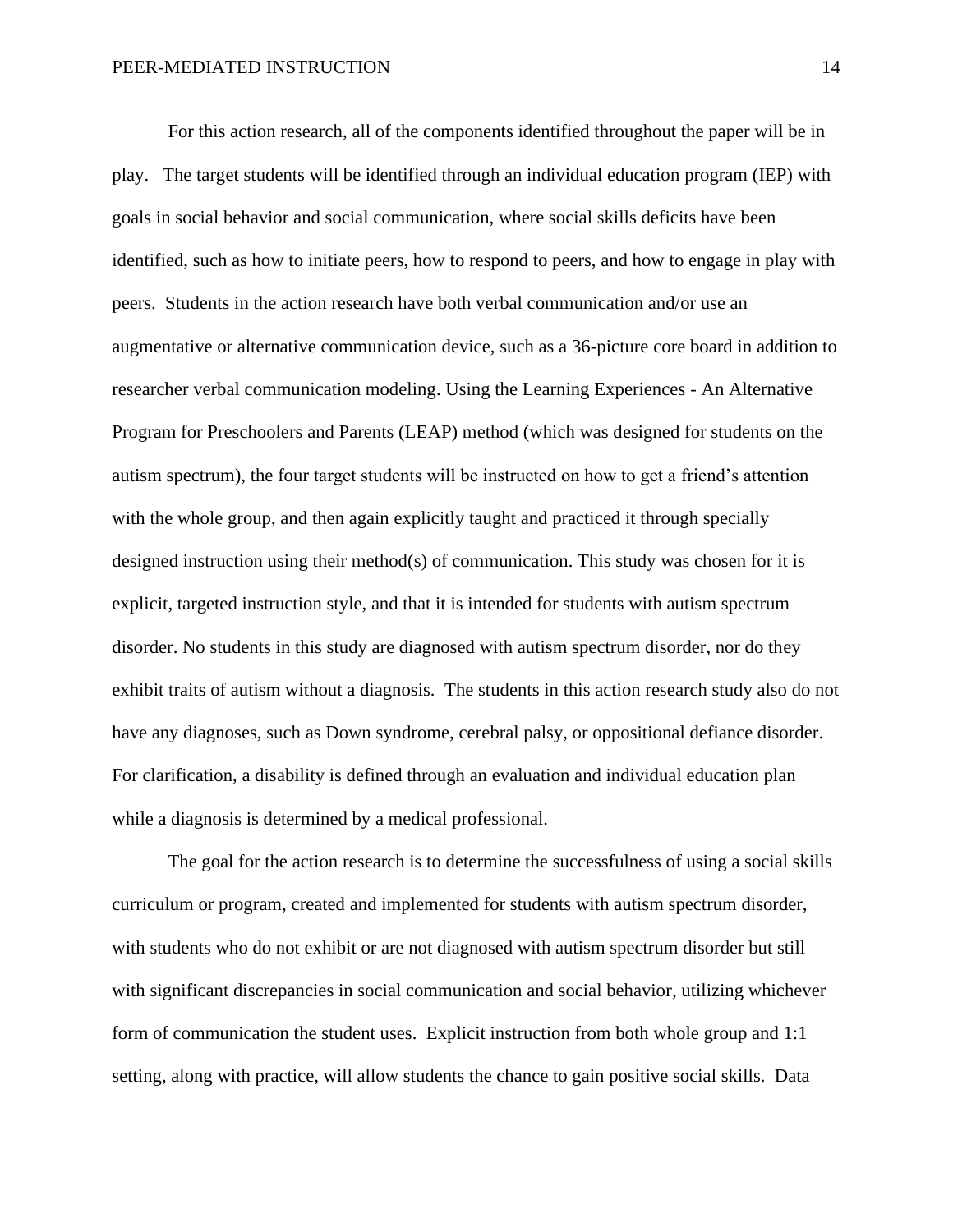For this action research, all of the components identified throughout the paper will be in play. The target students will be identified through an individual education program (IEP) with goals in social behavior and social communication, where social skills deficits have been identified, such as how to initiate peers, how to respond to peers, and how to engage in play with peers. Students in the action research have both verbal communication and/or use an augmentative or alternative communication device, such as a 36-picture core board in addition to researcher verbal communication modeling. Using the Learning Experiences - An Alternative Program for Preschoolers and Parents (LEAP) method (which was designed for students on the autism spectrum), the four target students will be instructed on how to get a friend's attention with the whole group, and then again explicitly taught and practiced it through specially designed instruction using their method(s) of communication. This study was chosen for it is explicit, targeted instruction style, and that it is intended for students with autism spectrum disorder. No students in this study are diagnosed with autism spectrum disorder, nor do they exhibit traits of autism without a diagnosis. The students in this action research study also do not have any diagnoses, such as Down syndrome, cerebral palsy, or oppositional defiance disorder. For clarification, a disability is defined through an evaluation and individual education plan while a diagnosis is determined by a medical professional.

The goal for the action research is to determine the successfulness of using a social skills curriculum or program, created and implemented for students with autism spectrum disorder, with students who do not exhibit or are not diagnosed with autism spectrum disorder but still with significant discrepancies in social communication and social behavior, utilizing whichever form of communication the student uses. Explicit instruction from both whole group and 1:1 setting, along with practice, will allow students the chance to gain positive social skills. Data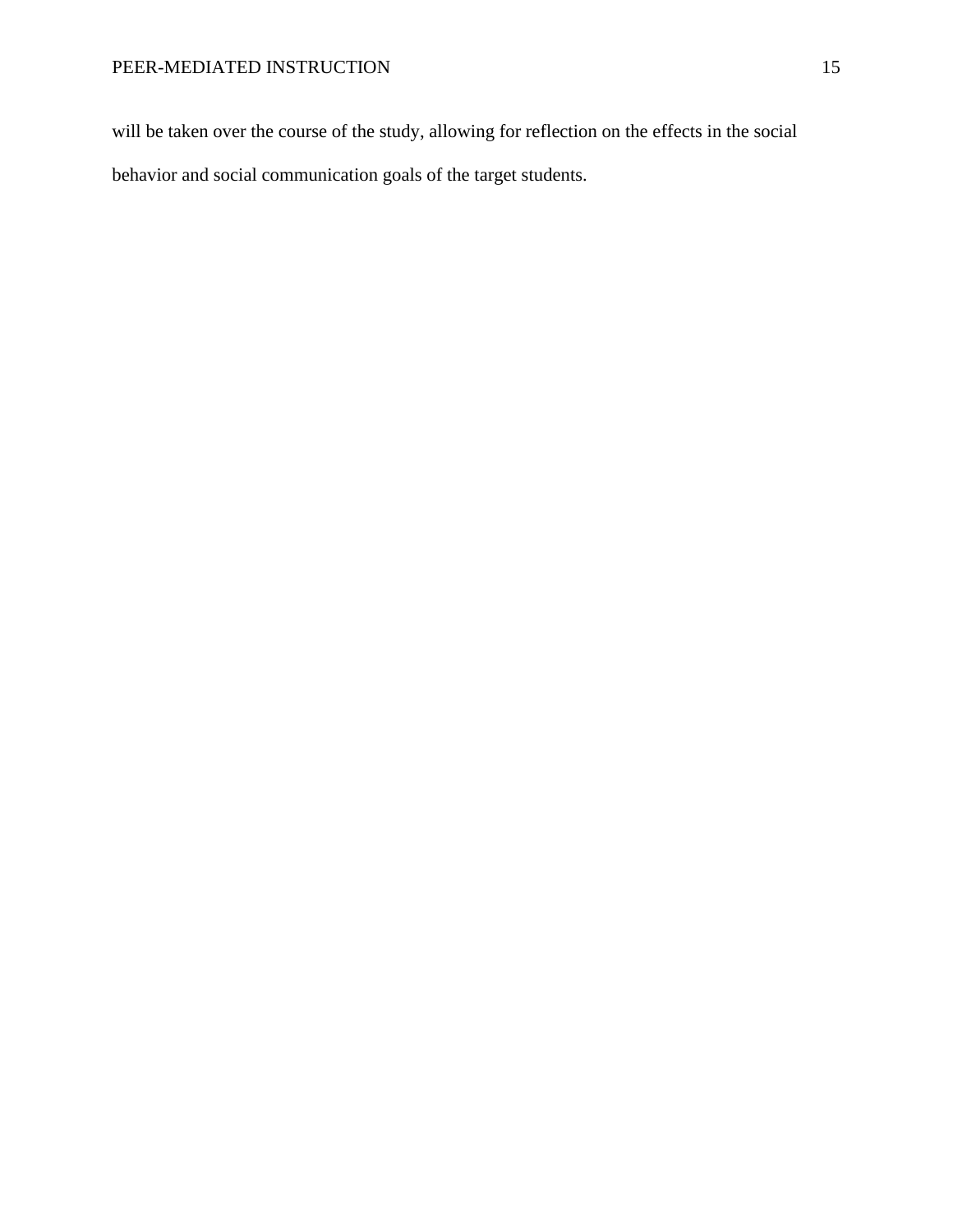will be taken over the course of the study, allowing for reflection on the effects in the social behavior and social communication goals of the target students.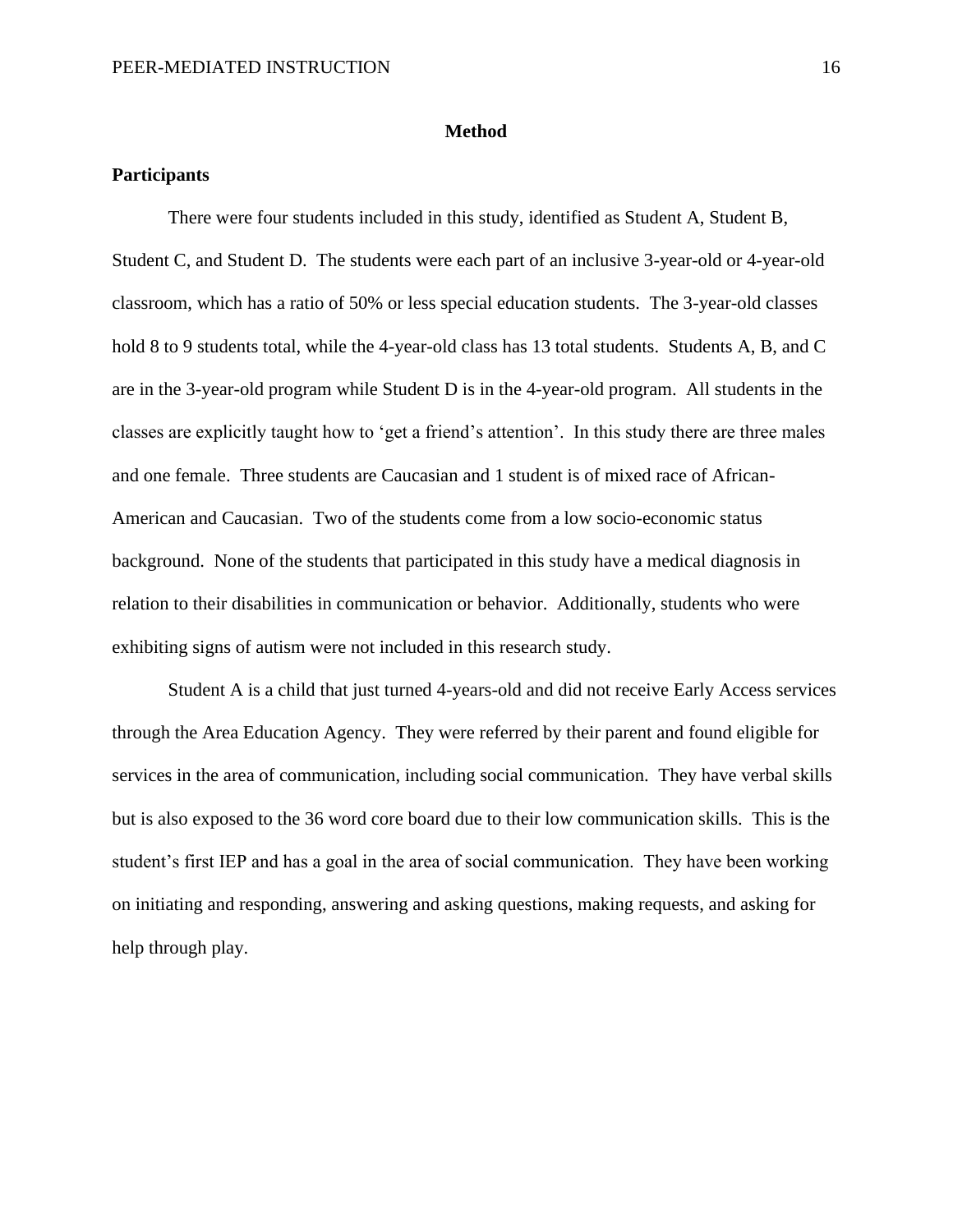#### **Method**

#### **Participants**

There were four students included in this study, identified as Student A, Student B, Student C, and Student D. The students were each part of an inclusive 3-year-old or 4-year-old classroom, which has a ratio of 50% or less special education students. The 3-year-old classes hold 8 to 9 students total, while the 4-year-old class has 13 total students. Students A, B, and C are in the 3-year-old program while Student D is in the 4-year-old program. All students in the classes are explicitly taught how to 'get a friend's attention'. In this study there are three males and one female. Three students are Caucasian and 1 student is of mixed race of African-American and Caucasian. Two of the students come from a low socio-economic status background. None of the students that participated in this study have a medical diagnosis in relation to their disabilities in communication or behavior. Additionally, students who were exhibiting signs of autism were not included in this research study.

Student A is a child that just turned 4-years-old and did not receive Early Access services through the Area Education Agency. They were referred by their parent and found eligible for services in the area of communication, including social communication. They have verbal skills but is also exposed to the 36 word core board due to their low communication skills. This is the student's first IEP and has a goal in the area of social communication. They have been working on initiating and responding, answering and asking questions, making requests, and asking for help through play.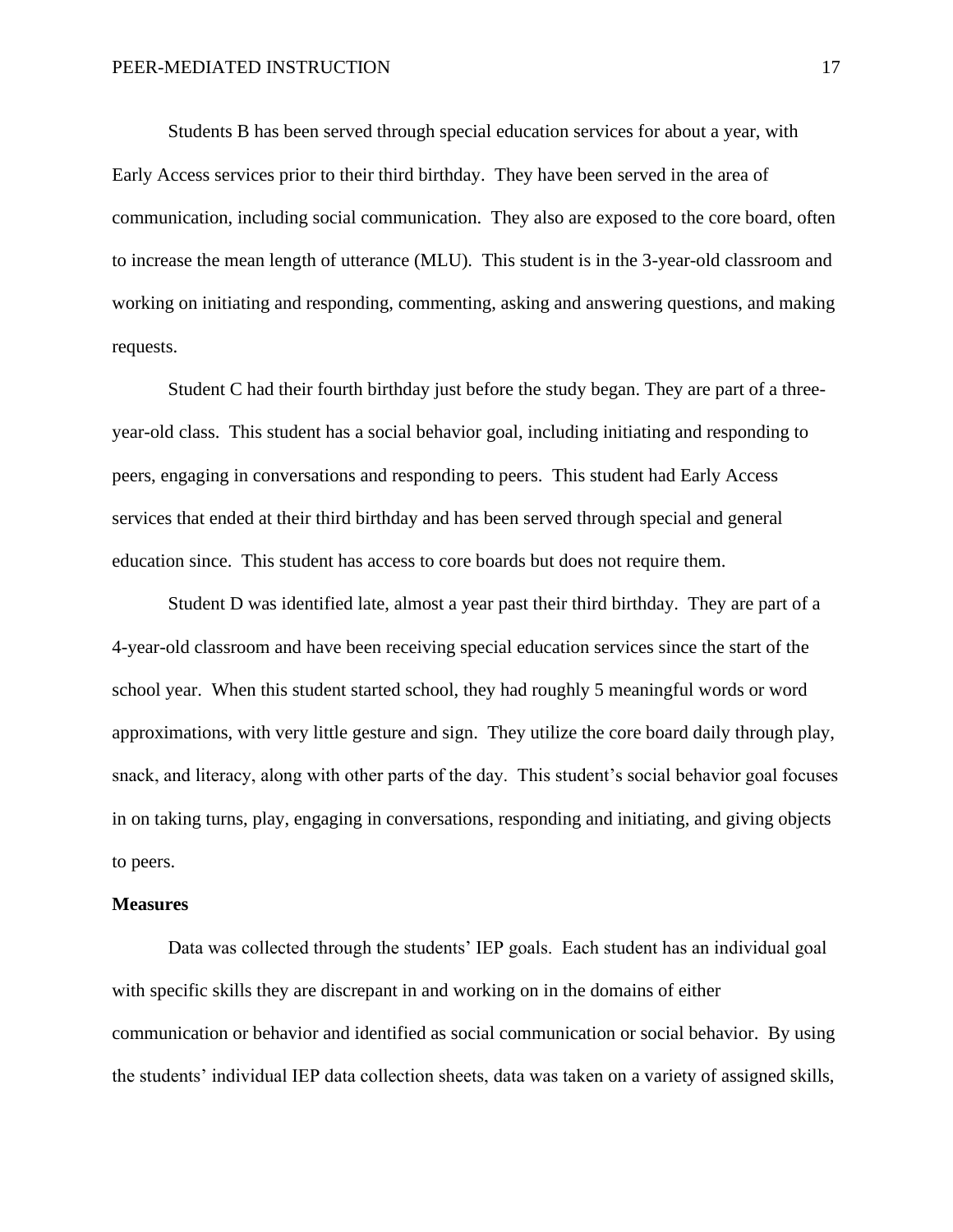Students B has been served through special education services for about a year, with Early Access services prior to their third birthday. They have been served in the area of communication, including social communication. They also are exposed to the core board, often to increase the mean length of utterance (MLU). This student is in the 3-year-old classroom and working on initiating and responding, commenting, asking and answering questions, and making requests.

Student C had their fourth birthday just before the study began. They are part of a threeyear-old class. This student has a social behavior goal, including initiating and responding to peers, engaging in conversations and responding to peers. This student had Early Access services that ended at their third birthday and has been served through special and general education since. This student has access to core boards but does not require them.

Student D was identified late, almost a year past their third birthday. They are part of a 4-year-old classroom and have been receiving special education services since the start of the school year. When this student started school, they had roughly 5 meaningful words or word approximations, with very little gesture and sign. They utilize the core board daily through play, snack, and literacy, along with other parts of the day. This student's social behavior goal focuses in on taking turns, play, engaging in conversations, responding and initiating, and giving objects to peers.

#### **Measures**

Data was collected through the students' IEP goals. Each student has an individual goal with specific skills they are discrepant in and working on in the domains of either communication or behavior and identified as social communication or social behavior. By using the students' individual IEP data collection sheets, data was taken on a variety of assigned skills,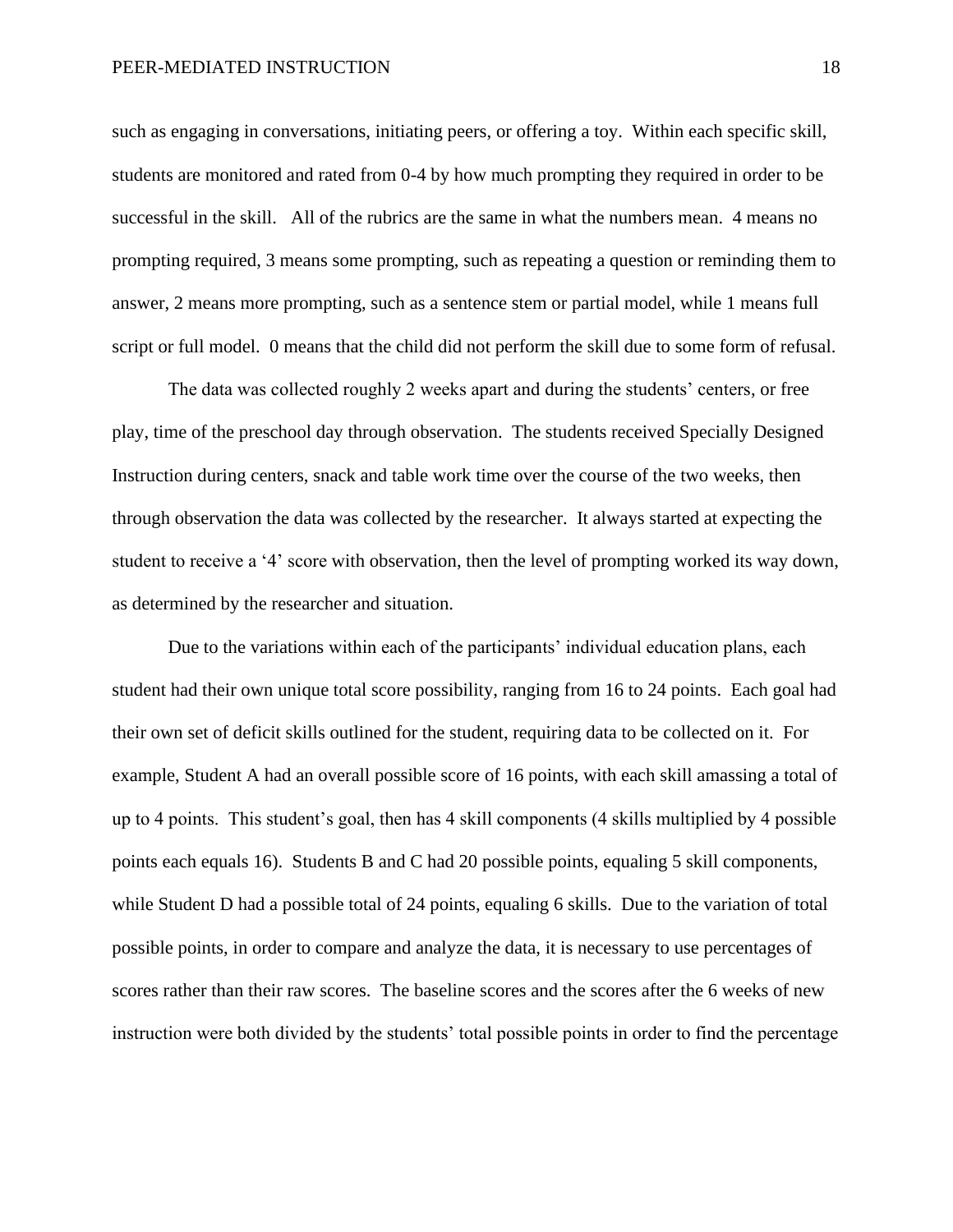such as engaging in conversations, initiating peers, or offering a toy. Within each specific skill, students are monitored and rated from 0-4 by how much prompting they required in order to be successful in the skill. All of the rubrics are the same in what the numbers mean. 4 means no prompting required, 3 means some prompting, such as repeating a question or reminding them to answer, 2 means more prompting, such as a sentence stem or partial model, while 1 means full script or full model. 0 means that the child did not perform the skill due to some form of refusal.

The data was collected roughly 2 weeks apart and during the students' centers, or free play, time of the preschool day through observation. The students received Specially Designed Instruction during centers, snack and table work time over the course of the two weeks, then through observation the data was collected by the researcher. It always started at expecting the student to receive a '4' score with observation, then the level of prompting worked its way down, as determined by the researcher and situation.

Due to the variations within each of the participants' individual education plans, each student had their own unique total score possibility, ranging from 16 to 24 points. Each goal had their own set of deficit skills outlined for the student, requiring data to be collected on it. For example, Student A had an overall possible score of 16 points, with each skill amassing a total of up to 4 points. This student's goal, then has 4 skill components (4 skills multiplied by 4 possible points each equals 16). Students B and C had 20 possible points, equaling 5 skill components, while Student D had a possible total of 24 points, equaling 6 skills. Due to the variation of total possible points, in order to compare and analyze the data, it is necessary to use percentages of scores rather than their raw scores. The baseline scores and the scores after the 6 weeks of new instruction were both divided by the students' total possible points in order to find the percentage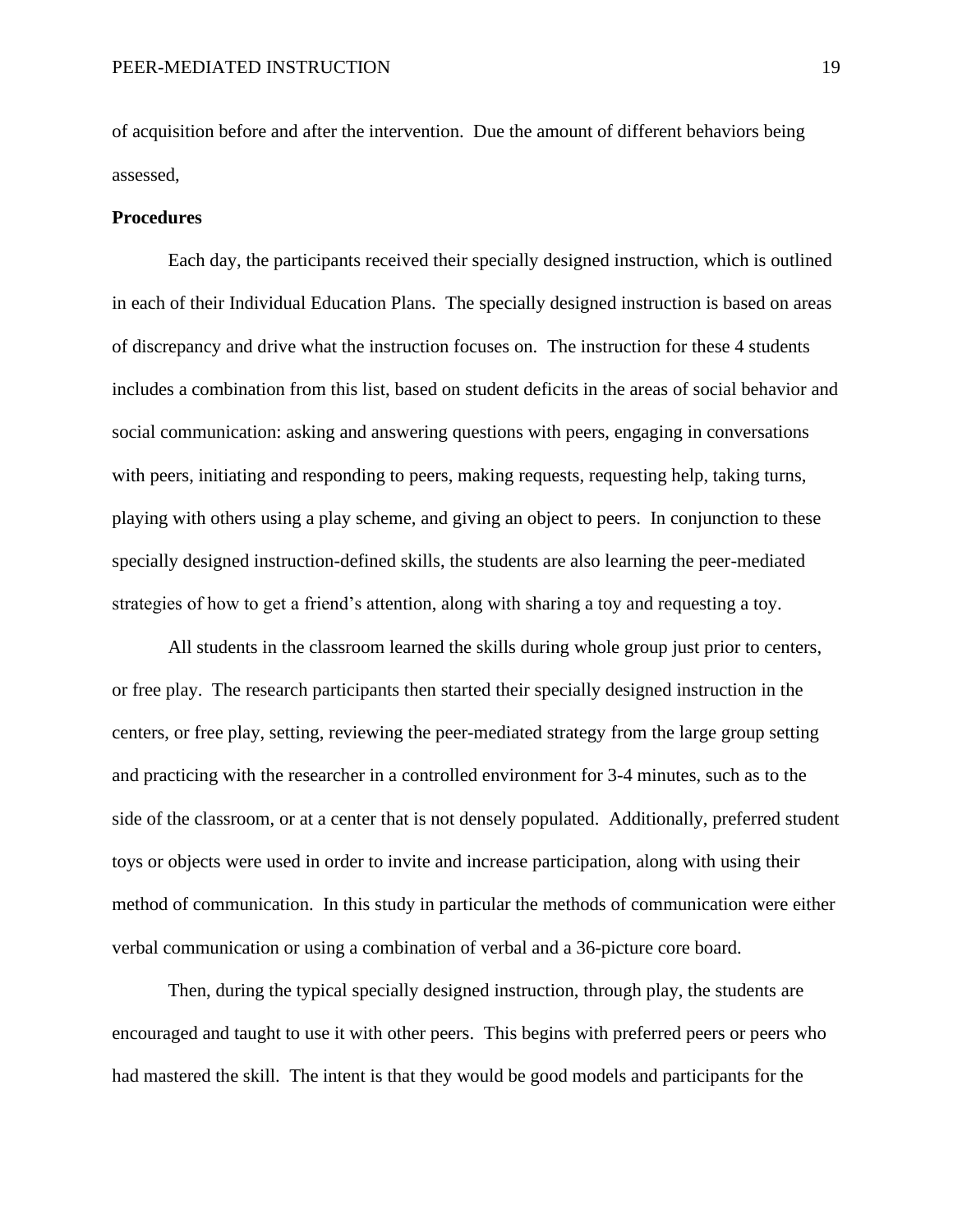of acquisition before and after the intervention. Due the amount of different behaviors being assessed,

#### **Procedures**

Each day, the participants received their specially designed instruction, which is outlined in each of their Individual Education Plans. The specially designed instruction is based on areas of discrepancy and drive what the instruction focuses on. The instruction for these 4 students includes a combination from this list, based on student deficits in the areas of social behavior and social communication: asking and answering questions with peers, engaging in conversations with peers, initiating and responding to peers, making requests, requesting help, taking turns, playing with others using a play scheme, and giving an object to peers. In conjunction to these specially designed instruction-defined skills, the students are also learning the peer-mediated strategies of how to get a friend's attention, along with sharing a toy and requesting a toy.

All students in the classroom learned the skills during whole group just prior to centers, or free play. The research participants then started their specially designed instruction in the centers, or free play, setting, reviewing the peer-mediated strategy from the large group setting and practicing with the researcher in a controlled environment for 3-4 minutes, such as to the side of the classroom, or at a center that is not densely populated. Additionally, preferred student toys or objects were used in order to invite and increase participation, along with using their method of communication. In this study in particular the methods of communication were either verbal communication or using a combination of verbal and a 36-picture core board.

Then, during the typical specially designed instruction, through play, the students are encouraged and taught to use it with other peers. This begins with preferred peers or peers who had mastered the skill. The intent is that they would be good models and participants for the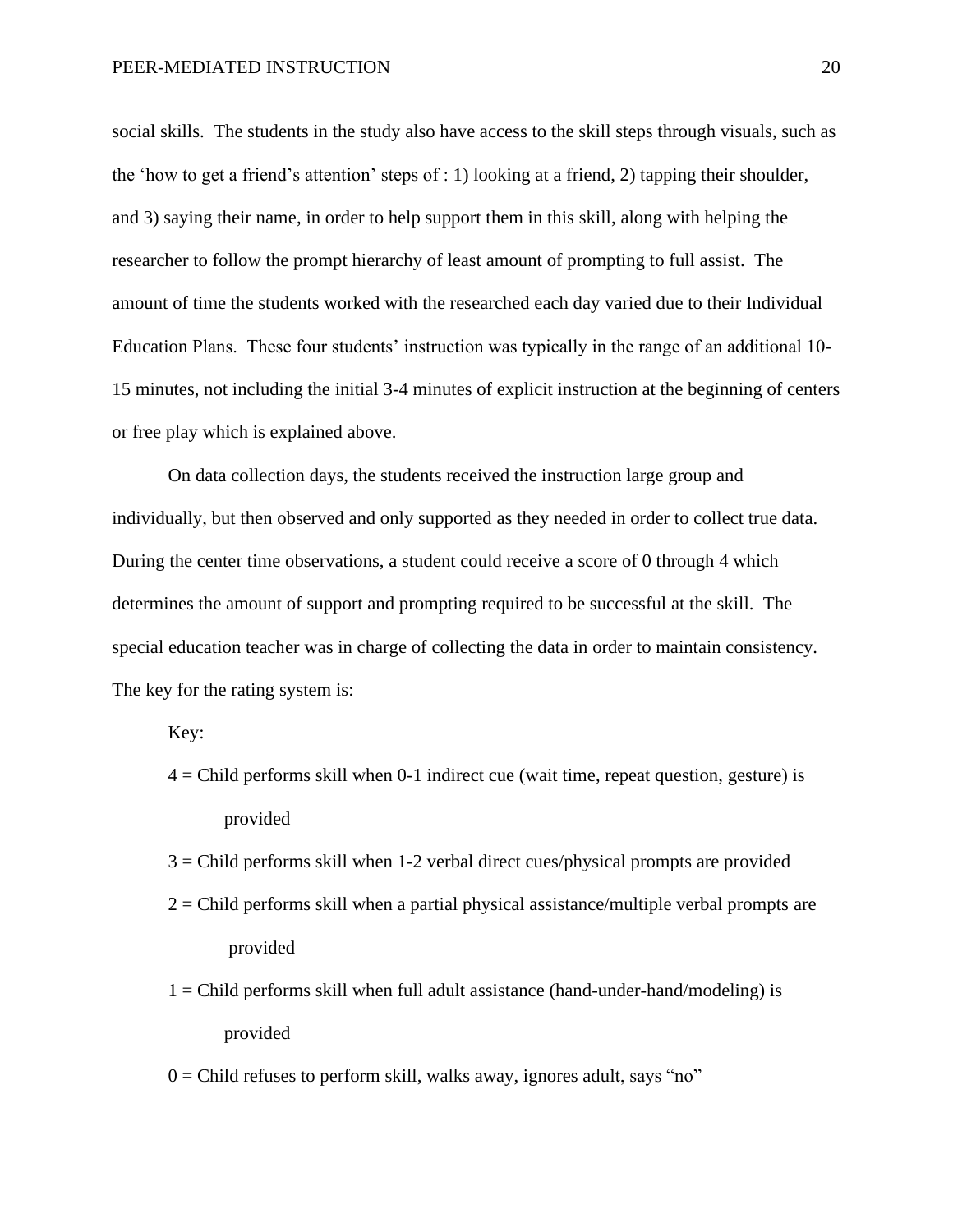social skills. The students in the study also have access to the skill steps through visuals, such as the 'how to get a friend's attention' steps of : 1) looking at a friend, 2) tapping their shoulder, and 3) saying their name, in order to help support them in this skill, along with helping the researcher to follow the prompt hierarchy of least amount of prompting to full assist. The amount of time the students worked with the researched each day varied due to their Individual Education Plans. These four students' instruction was typically in the range of an additional 10- 15 minutes, not including the initial 3-4 minutes of explicit instruction at the beginning of centers or free play which is explained above.

On data collection days, the students received the instruction large group and individually, but then observed and only supported as they needed in order to collect true data. During the center time observations, a student could receive a score of 0 through 4 which determines the amount of support and prompting required to be successful at the skill. The special education teacher was in charge of collecting the data in order to maintain consistency. The key for the rating system is:

Key:

- $4 =$ Child performs skill when 0-1 indirect cue (wait time, repeat question, gesture) is provided
- 3 = Child performs skill when 1-2 verbal direct cues/physical prompts are provided
- $2 =$ Child performs skill when a partial physical assistance/multiple verbal prompts are provided
- $1 =$ Child performs skill when full adult assistance (hand-under-hand/modeling) is provided
- $0 =$ Child refuses to perform skill, walks away, ignores adult, says "no"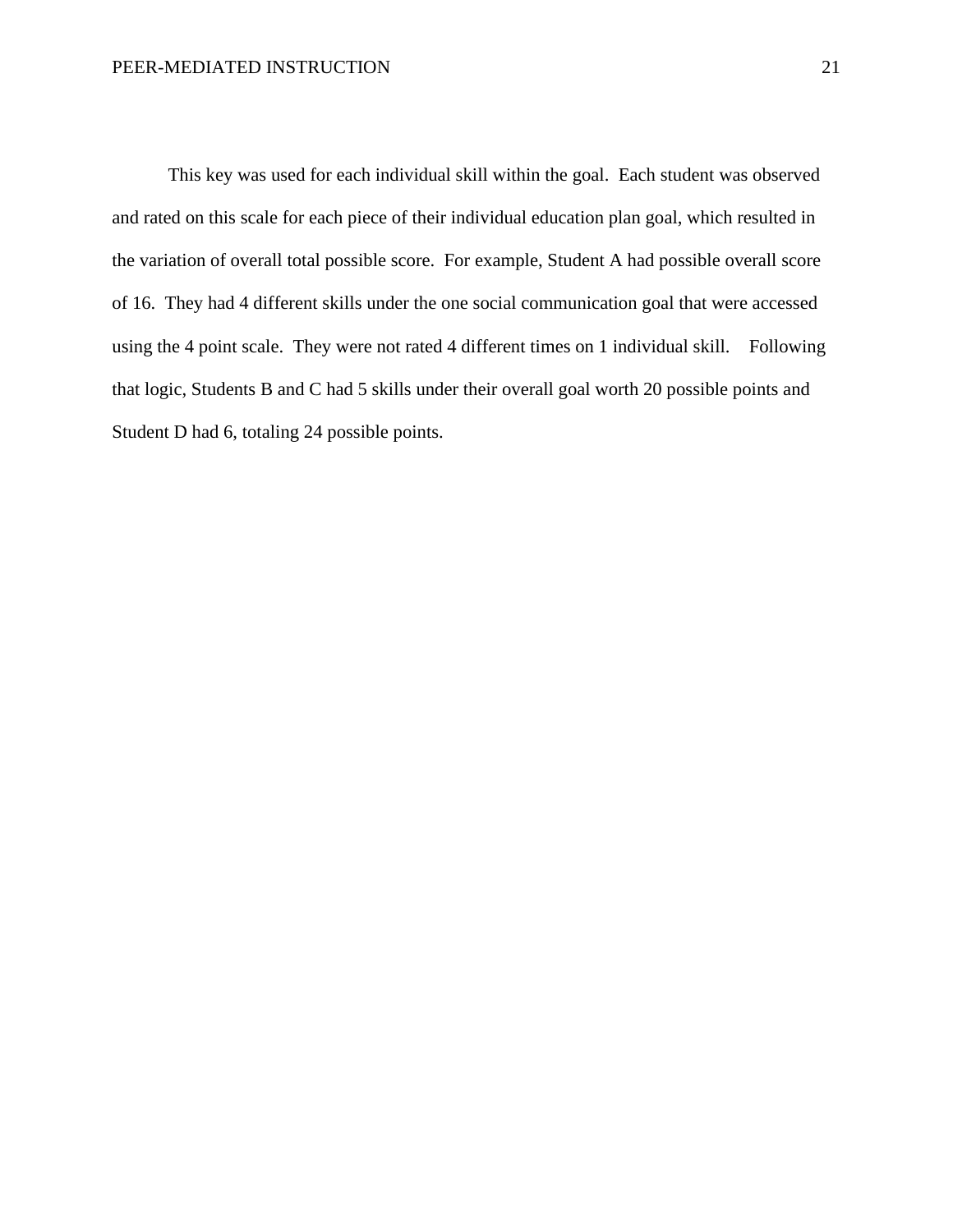This key was used for each individual skill within the goal. Each student was observed and rated on this scale for each piece of their individual education plan goal, which resulted in the variation of overall total possible score. For example, Student A had possible overall score of 16. They had 4 different skills under the one social communication goal that were accessed using the 4 point scale. They were not rated 4 different times on 1 individual skill. Following that logic, Students B and C had 5 skills under their overall goal worth 20 possible points and Student D had 6, totaling 24 possible points.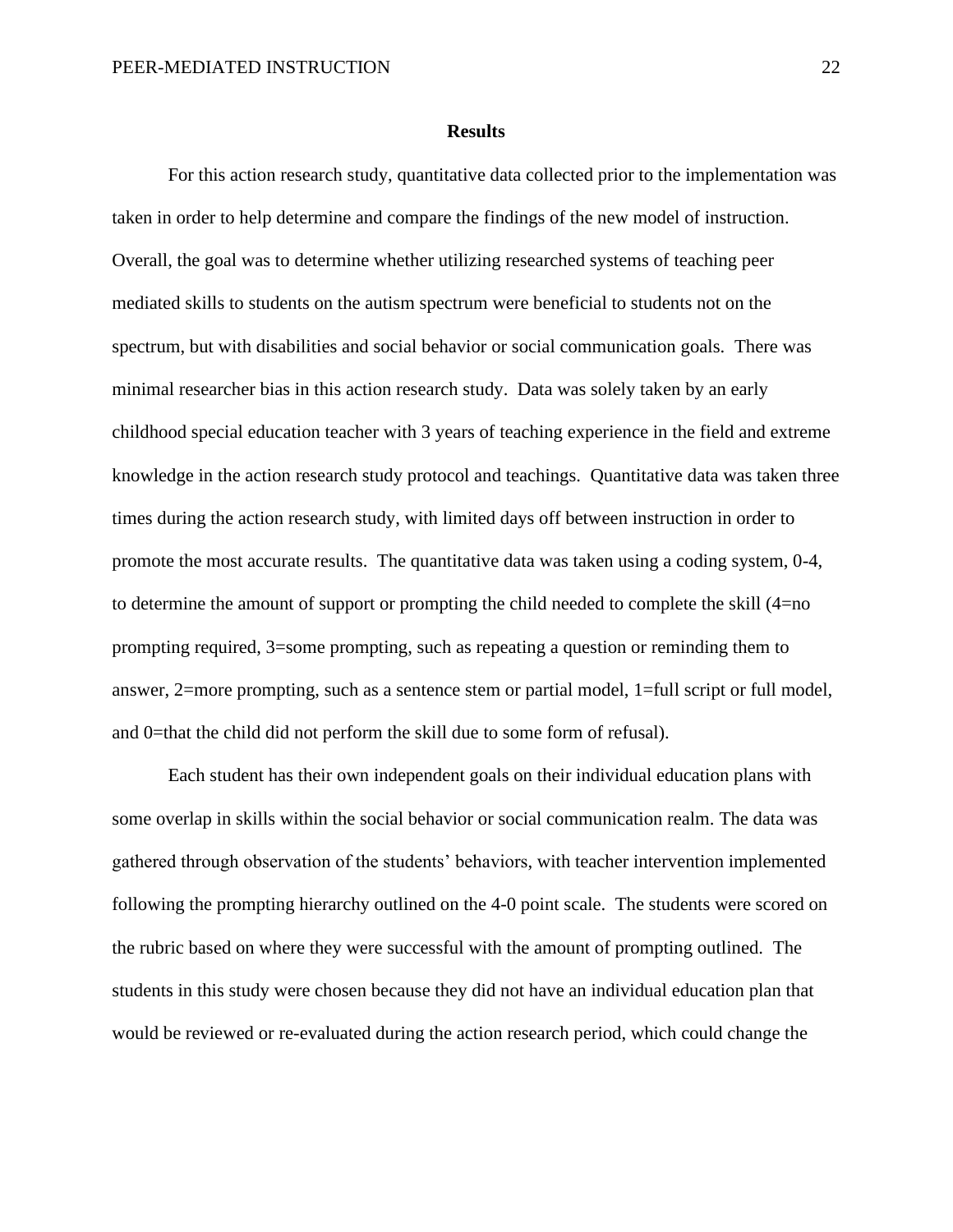#### **Results**

For this action research study, quantitative data collected prior to the implementation was taken in order to help determine and compare the findings of the new model of instruction. Overall, the goal was to determine whether utilizing researched systems of teaching peer mediated skills to students on the autism spectrum were beneficial to students not on the spectrum, but with disabilities and social behavior or social communication goals. There was minimal researcher bias in this action research study. Data was solely taken by an early childhood special education teacher with 3 years of teaching experience in the field and extreme knowledge in the action research study protocol and teachings. Quantitative data was taken three times during the action research study, with limited days off between instruction in order to promote the most accurate results. The quantitative data was taken using a coding system, 0-4, to determine the amount of support or prompting the child needed to complete the skill (4=no prompting required, 3=some prompting, such as repeating a question or reminding them to answer, 2=more prompting, such as a sentence stem or partial model, 1=full script or full model, and 0=that the child did not perform the skill due to some form of refusal).

Each student has their own independent goals on their individual education plans with some overlap in skills within the social behavior or social communication realm. The data was gathered through observation of the students' behaviors, with teacher intervention implemented following the prompting hierarchy outlined on the 4-0 point scale. The students were scored on the rubric based on where they were successful with the amount of prompting outlined. The students in this study were chosen because they did not have an individual education plan that would be reviewed or re-evaluated during the action research period, which could change the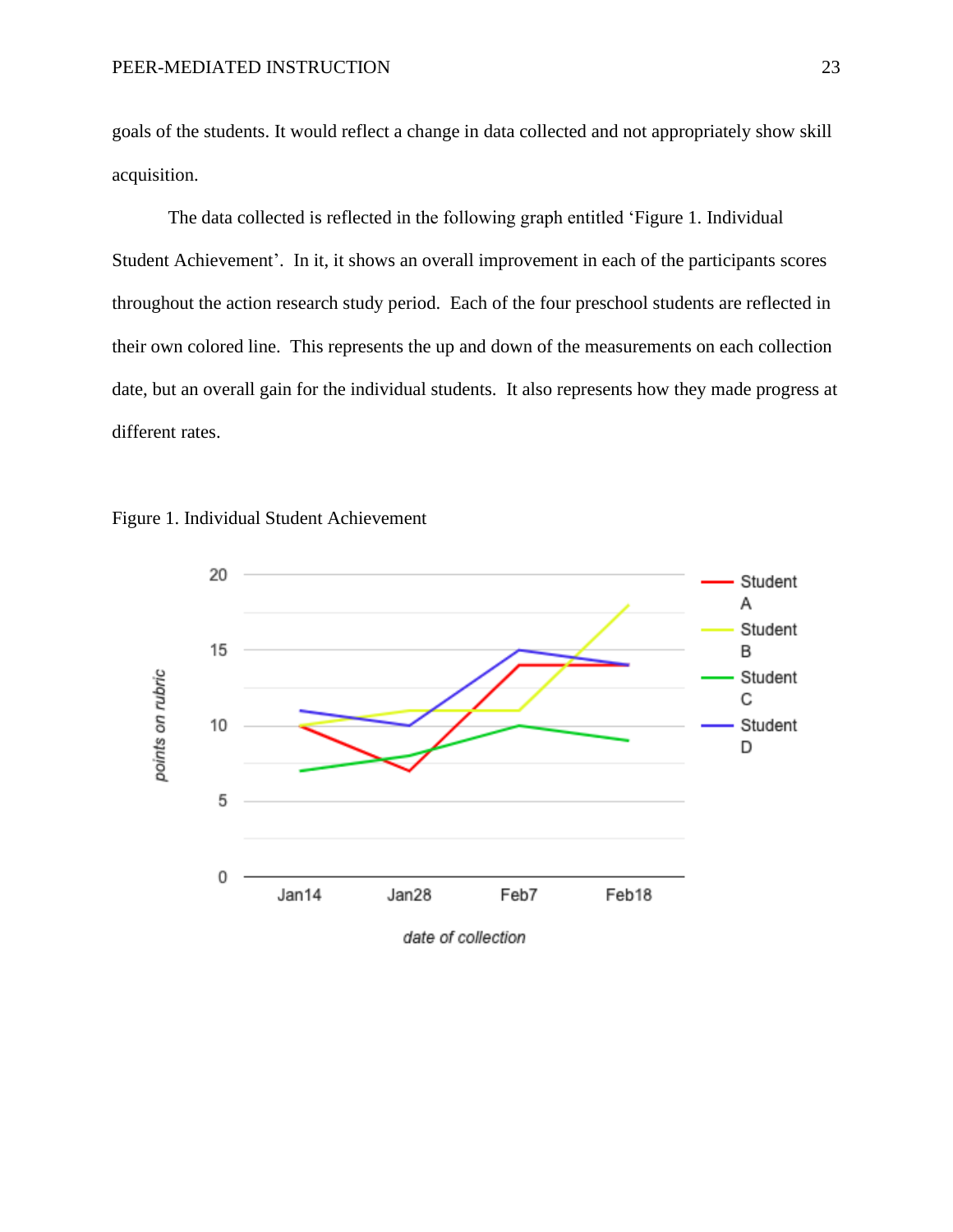goals of the students. It would reflect a change in data collected and not appropriately show skill acquisition.

The data collected is reflected in the following graph entitled 'Figure 1. Individual Student Achievement'. In it, it shows an overall improvement in each of the participants scores throughout the action research study period. Each of the four preschool students are reflected in their own colored line. This represents the up and down of the measurements on each collection date, but an overall gain for the individual students. It also represents how they made progress at different rates.



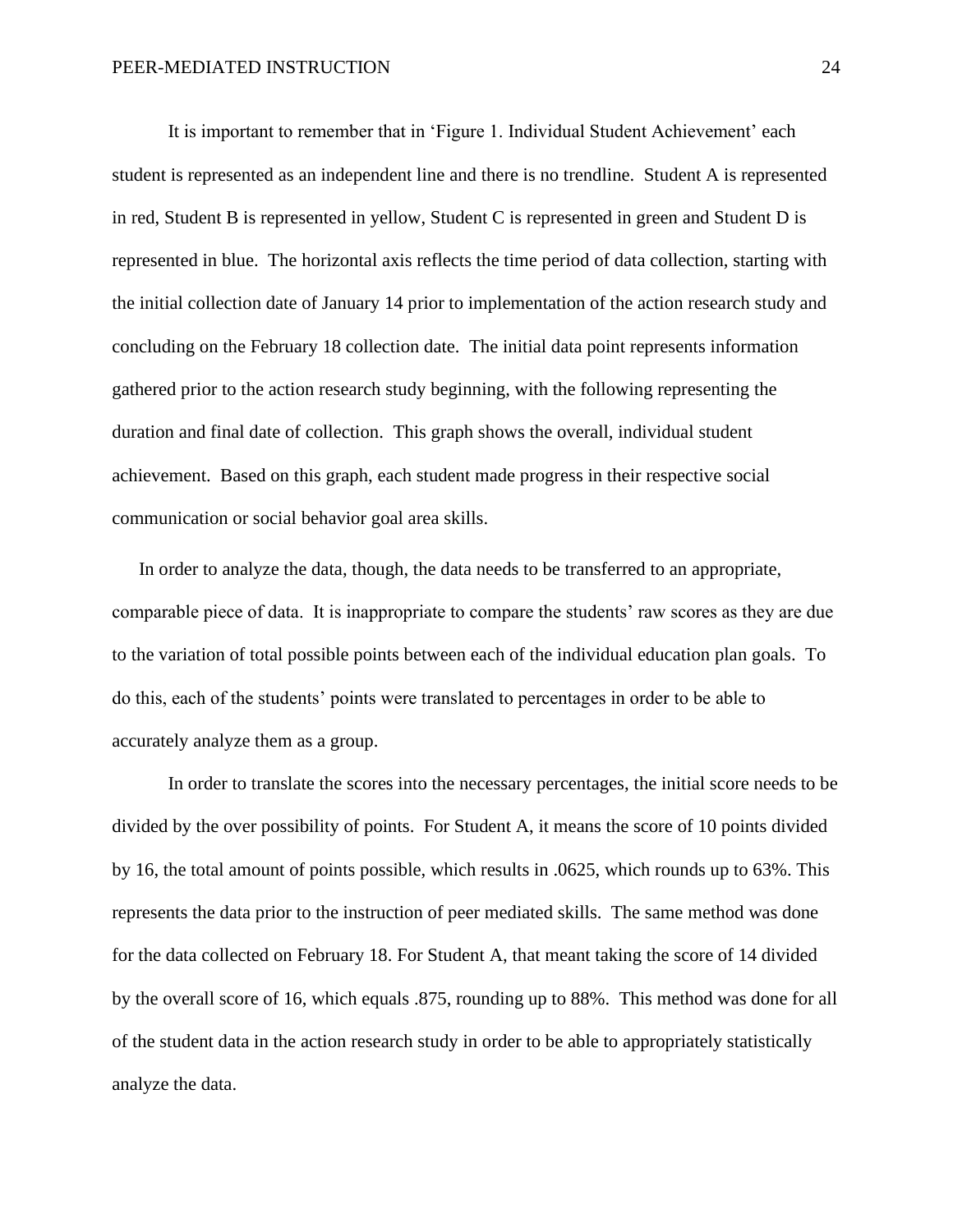It is important to remember that in 'Figure 1. Individual Student Achievement' each student is represented as an independent line and there is no trendline. Student A is represented in red, Student B is represented in yellow, Student C is represented in green and Student D is represented in blue. The horizontal axis reflects the time period of data collection, starting with the initial collection date of January 14 prior to implementation of the action research study and concluding on the February 18 collection date. The initial data point represents information gathered prior to the action research study beginning, with the following representing the duration and final date of collection. This graph shows the overall, individual student achievement. Based on this graph, each student made progress in their respective social communication or social behavior goal area skills.

In order to analyze the data, though, the data needs to be transferred to an appropriate, comparable piece of data. It is inappropriate to compare the students' raw scores as they are due to the variation of total possible points between each of the individual education plan goals. To do this, each of the students' points were translated to percentages in order to be able to accurately analyze them as a group.

In order to translate the scores into the necessary percentages, the initial score needs to be divided by the over possibility of points. For Student A, it means the score of 10 points divided by 16, the total amount of points possible, which results in .0625, which rounds up to 63%. This represents the data prior to the instruction of peer mediated skills. The same method was done for the data collected on February 18. For Student A, that meant taking the score of 14 divided by the overall score of 16, which equals .875, rounding up to 88%. This method was done for all of the student data in the action research study in order to be able to appropriately statistically analyze the data.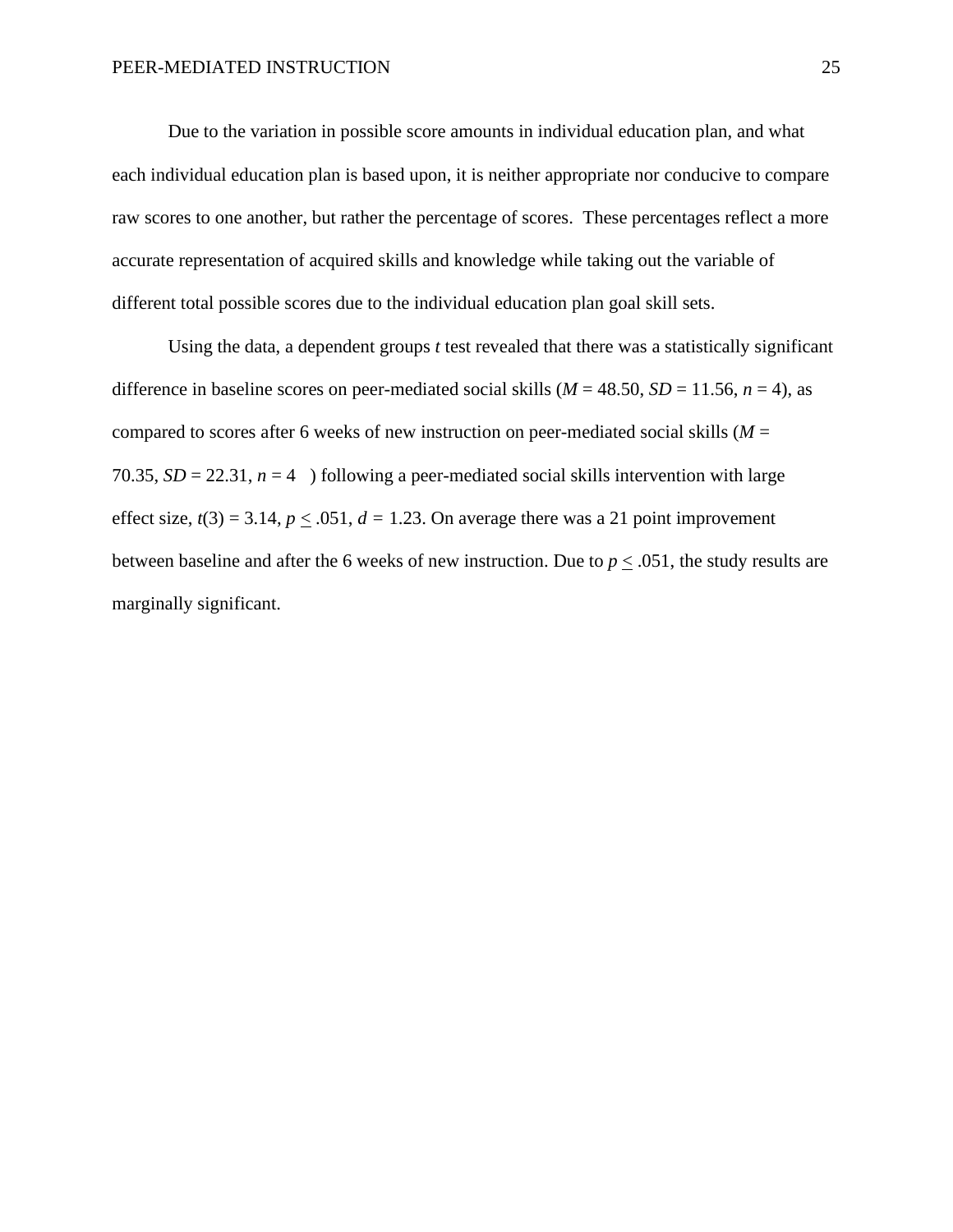Due to the variation in possible score amounts in individual education plan, and what each individual education plan is based upon, it is neither appropriate nor conducive to compare raw scores to one another, but rather the percentage of scores. These percentages reflect a more accurate representation of acquired skills and knowledge while taking out the variable of different total possible scores due to the individual education plan goal skill sets.

Using the data, a dependent groups *t* test revealed that there was a statistically significant difference in baseline scores on peer-mediated social skills ( $M = 48.50$ ,  $SD = 11.56$ ,  $n = 4$ ), as compared to scores after 6 weeks of new instruction on peer-mediated social skills (*M* = 70.35,  $SD = 22.31$ ,  $n = 4$ ) following a peer-mediated social skills intervention with large effect size,  $t(3) = 3.14$ ,  $p \le 0.051$ ,  $d = 1.23$ . On average there was a 21 point improvement between baseline and after the 6 weeks of new instruction. Due to  $p < .051$ , the study results are marginally significant.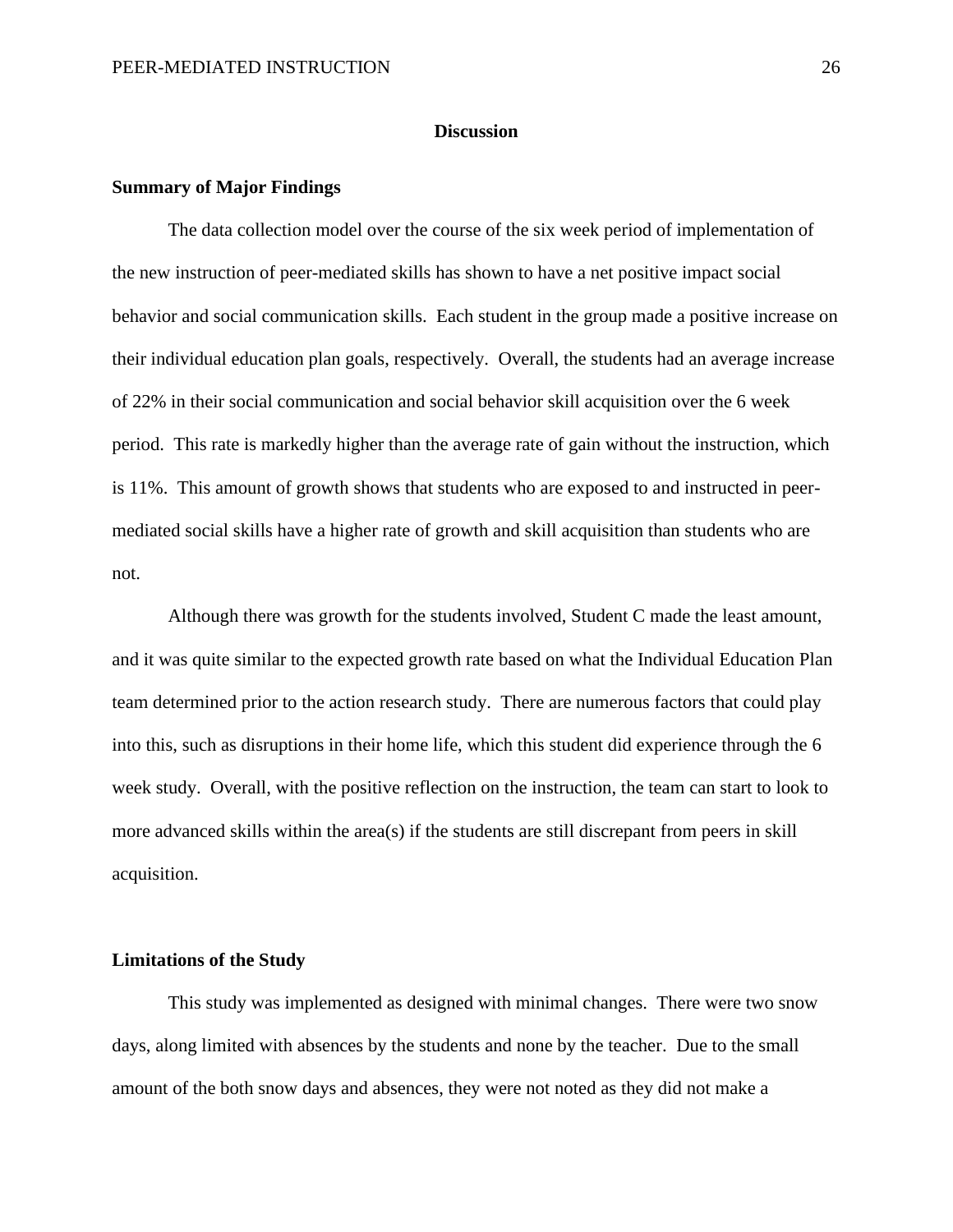#### **Discussion**

#### **Summary of Major Findings**

The data collection model over the course of the six week period of implementation of the new instruction of peer-mediated skills has shown to have a net positive impact social behavior and social communication skills. Each student in the group made a positive increase on their individual education plan goals, respectively. Overall, the students had an average increase of 22% in their social communication and social behavior skill acquisition over the 6 week period. This rate is markedly higher than the average rate of gain without the instruction, which is 11%. This amount of growth shows that students who are exposed to and instructed in peermediated social skills have a higher rate of growth and skill acquisition than students who are not.

Although there was growth for the students involved, Student C made the least amount, and it was quite similar to the expected growth rate based on what the Individual Education Plan team determined prior to the action research study. There are numerous factors that could play into this, such as disruptions in their home life, which this student did experience through the 6 week study. Overall, with the positive reflection on the instruction, the team can start to look to more advanced skills within the area(s) if the students are still discrepant from peers in skill acquisition.

#### **Limitations of the Study**

This study was implemented as designed with minimal changes. There were two snow days, along limited with absences by the students and none by the teacher. Due to the small amount of the both snow days and absences, they were not noted as they did not make a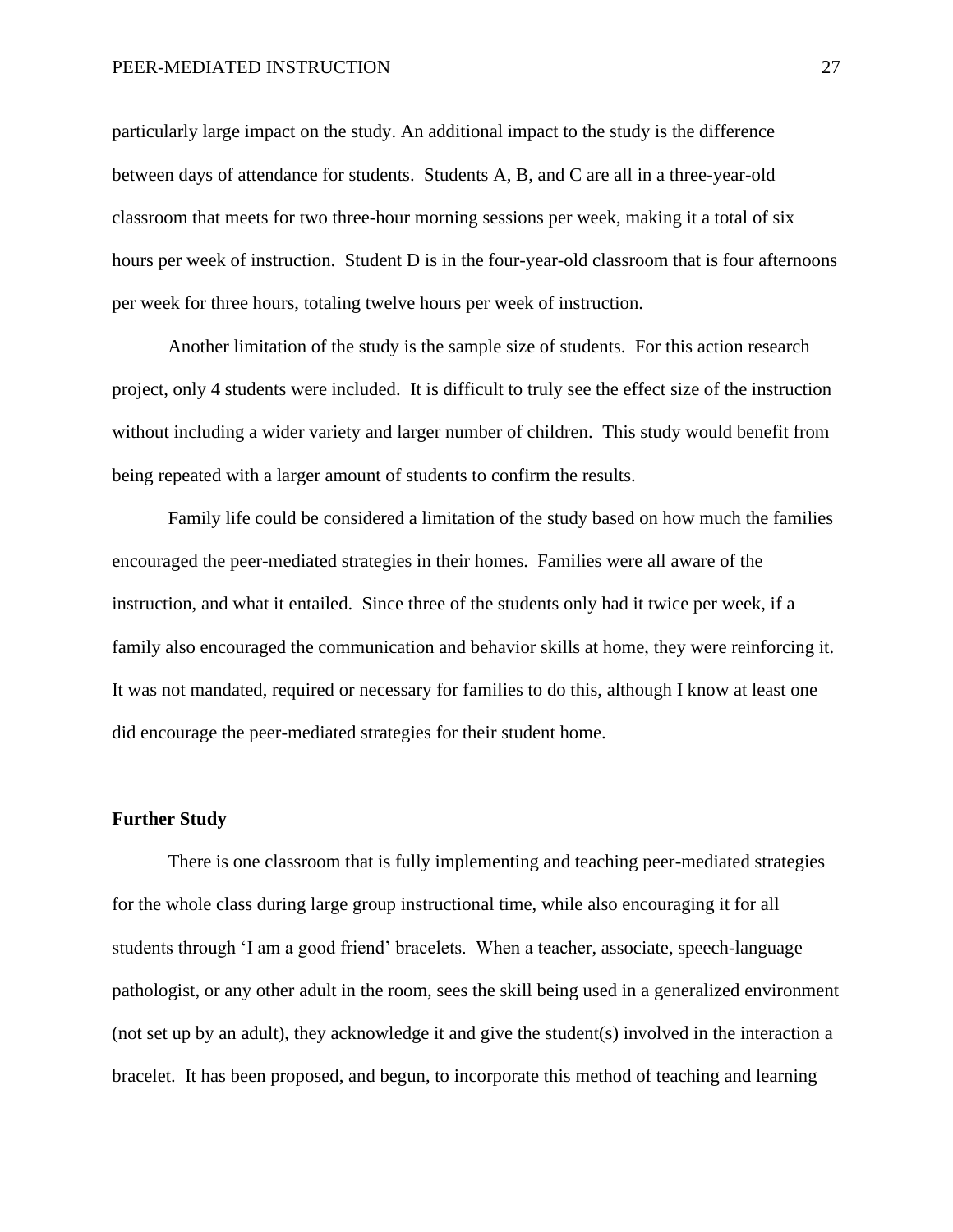particularly large impact on the study. An additional impact to the study is the difference between days of attendance for students. Students A, B, and C are all in a three-year-old classroom that meets for two three-hour morning sessions per week, making it a total of six hours per week of instruction. Student D is in the four-year-old classroom that is four afternoons per week for three hours, totaling twelve hours per week of instruction.

Another limitation of the study is the sample size of students. For this action research project, only 4 students were included. It is difficult to truly see the effect size of the instruction without including a wider variety and larger number of children. This study would benefit from being repeated with a larger amount of students to confirm the results.

Family life could be considered a limitation of the study based on how much the families encouraged the peer-mediated strategies in their homes. Families were all aware of the instruction, and what it entailed. Since three of the students only had it twice per week, if a family also encouraged the communication and behavior skills at home, they were reinforcing it. It was not mandated, required or necessary for families to do this, although I know at least one did encourage the peer-mediated strategies for their student home.

#### **Further Study**

There is one classroom that is fully implementing and teaching peer-mediated strategies for the whole class during large group instructional time, while also encouraging it for all students through 'I am a good friend' bracelets. When a teacher, associate, speech-language pathologist, or any other adult in the room, sees the skill being used in a generalized environment (not set up by an adult), they acknowledge it and give the student(s) involved in the interaction a bracelet. It has been proposed, and begun, to incorporate this method of teaching and learning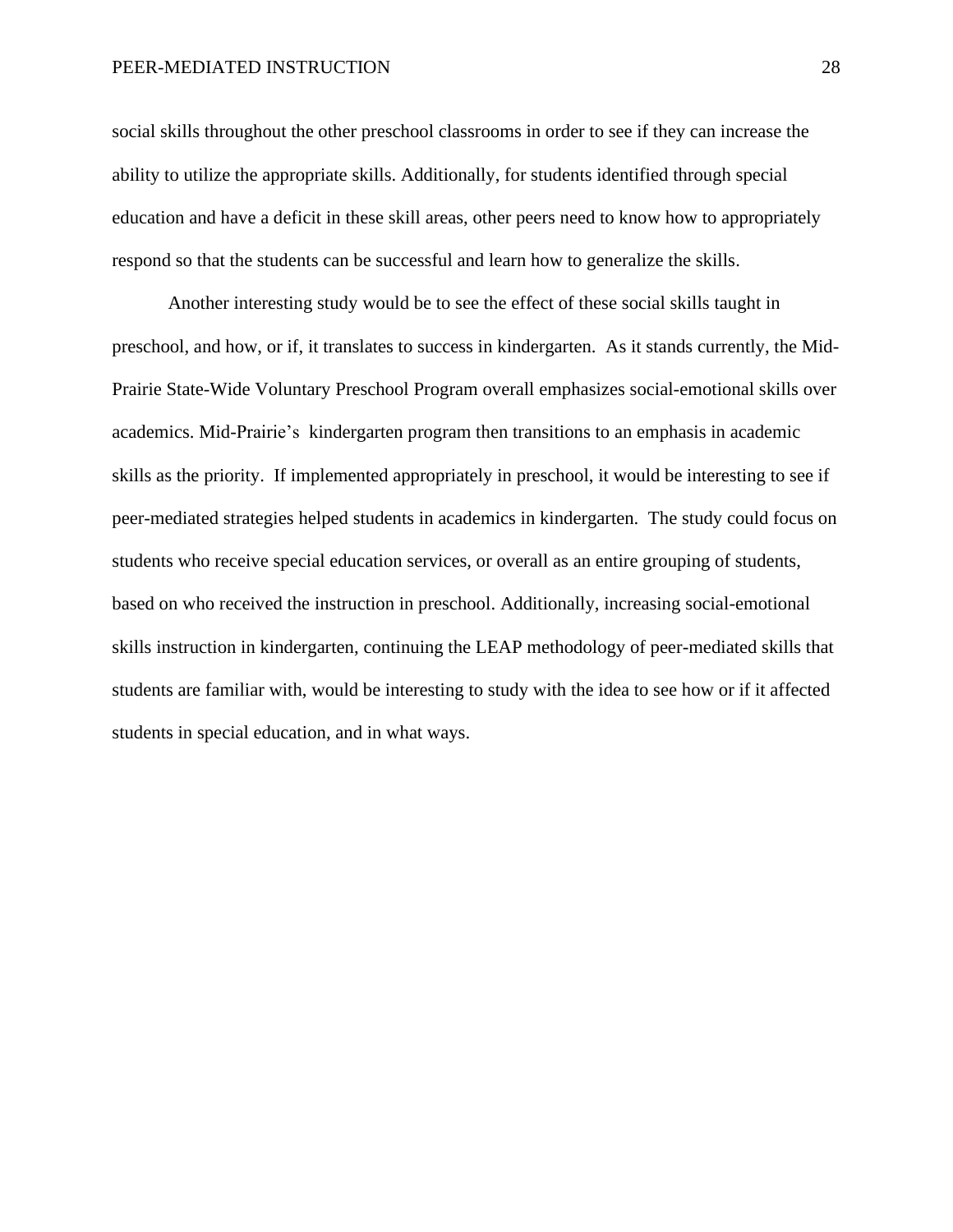#### PEER-MEDIATED INSTRUCTION 28

social skills throughout the other preschool classrooms in order to see if they can increase the ability to utilize the appropriate skills. Additionally, for students identified through special education and have a deficit in these skill areas, other peers need to know how to appropriately respond so that the students can be successful and learn how to generalize the skills.

Another interesting study would be to see the effect of these social skills taught in preschool, and how, or if, it translates to success in kindergarten. As it stands currently, the Mid-Prairie State-Wide Voluntary Preschool Program overall emphasizes social-emotional skills over academics. Mid-Prairie's kindergarten program then transitions to an emphasis in academic skills as the priority. If implemented appropriately in preschool, it would be interesting to see if peer-mediated strategies helped students in academics in kindergarten. The study could focus on students who receive special education services, or overall as an entire grouping of students, based on who received the instruction in preschool. Additionally, increasing social-emotional skills instruction in kindergarten, continuing the LEAP methodology of peer-mediated skills that students are familiar with, would be interesting to study with the idea to see how or if it affected students in special education, and in what ways.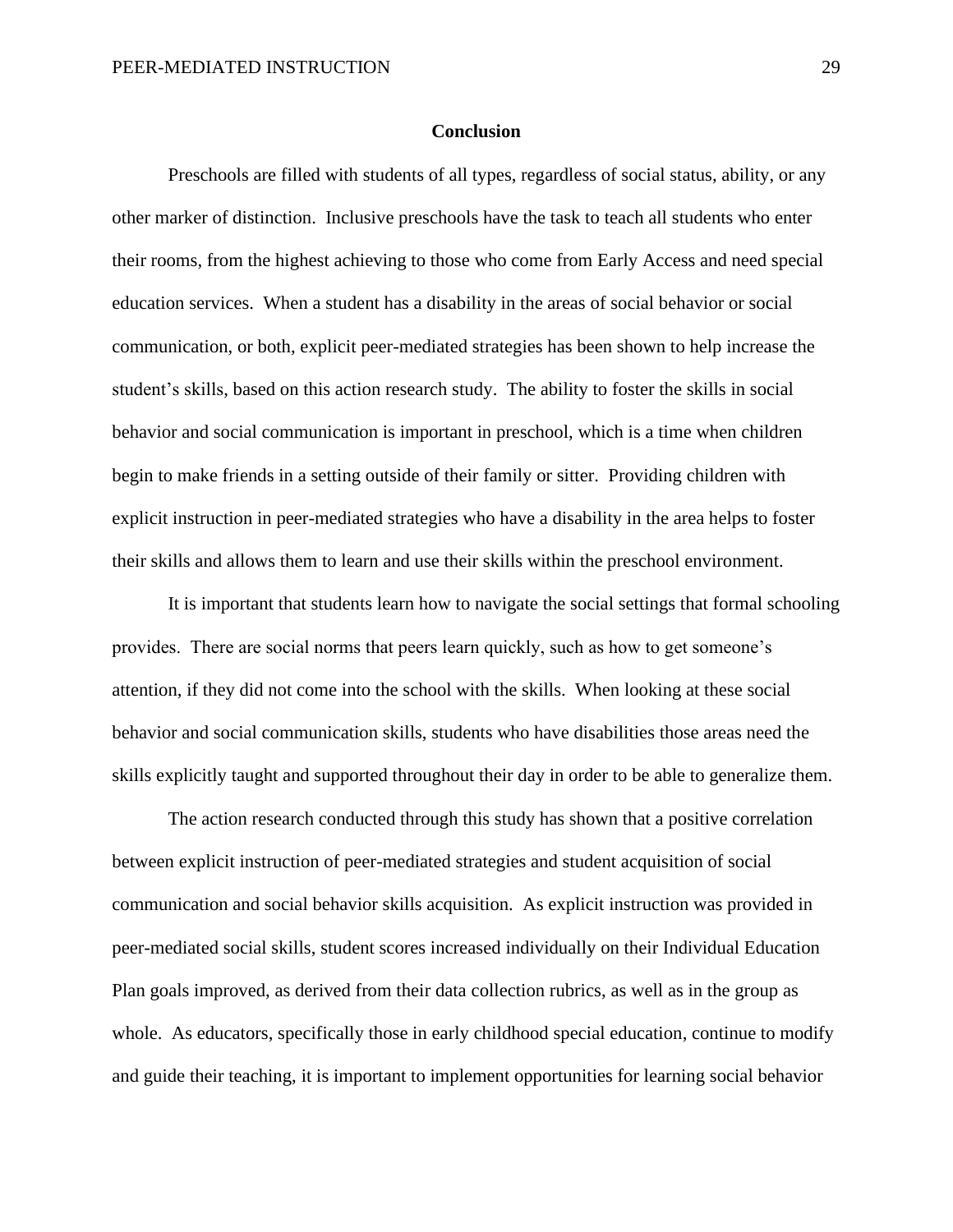#### **Conclusion**

Preschools are filled with students of all types, regardless of social status, ability, or any other marker of distinction. Inclusive preschools have the task to teach all students who enter their rooms, from the highest achieving to those who come from Early Access and need special education services. When a student has a disability in the areas of social behavior or social communication, or both, explicit peer-mediated strategies has been shown to help increase the student's skills, based on this action research study. The ability to foster the skills in social behavior and social communication is important in preschool, which is a time when children begin to make friends in a setting outside of their family or sitter. Providing children with explicit instruction in peer-mediated strategies who have a disability in the area helps to foster their skills and allows them to learn and use their skills within the preschool environment.

It is important that students learn how to navigate the social settings that formal schooling provides. There are social norms that peers learn quickly, such as how to get someone's attention, if they did not come into the school with the skills. When looking at these social behavior and social communication skills, students who have disabilities those areas need the skills explicitly taught and supported throughout their day in order to be able to generalize them.

The action research conducted through this study has shown that a positive correlation between explicit instruction of peer-mediated strategies and student acquisition of social communication and social behavior skills acquisition. As explicit instruction was provided in peer-mediated social skills, student scores increased individually on their Individual Education Plan goals improved, as derived from their data collection rubrics, as well as in the group as whole. As educators, specifically those in early childhood special education, continue to modify and guide their teaching, it is important to implement opportunities for learning social behavior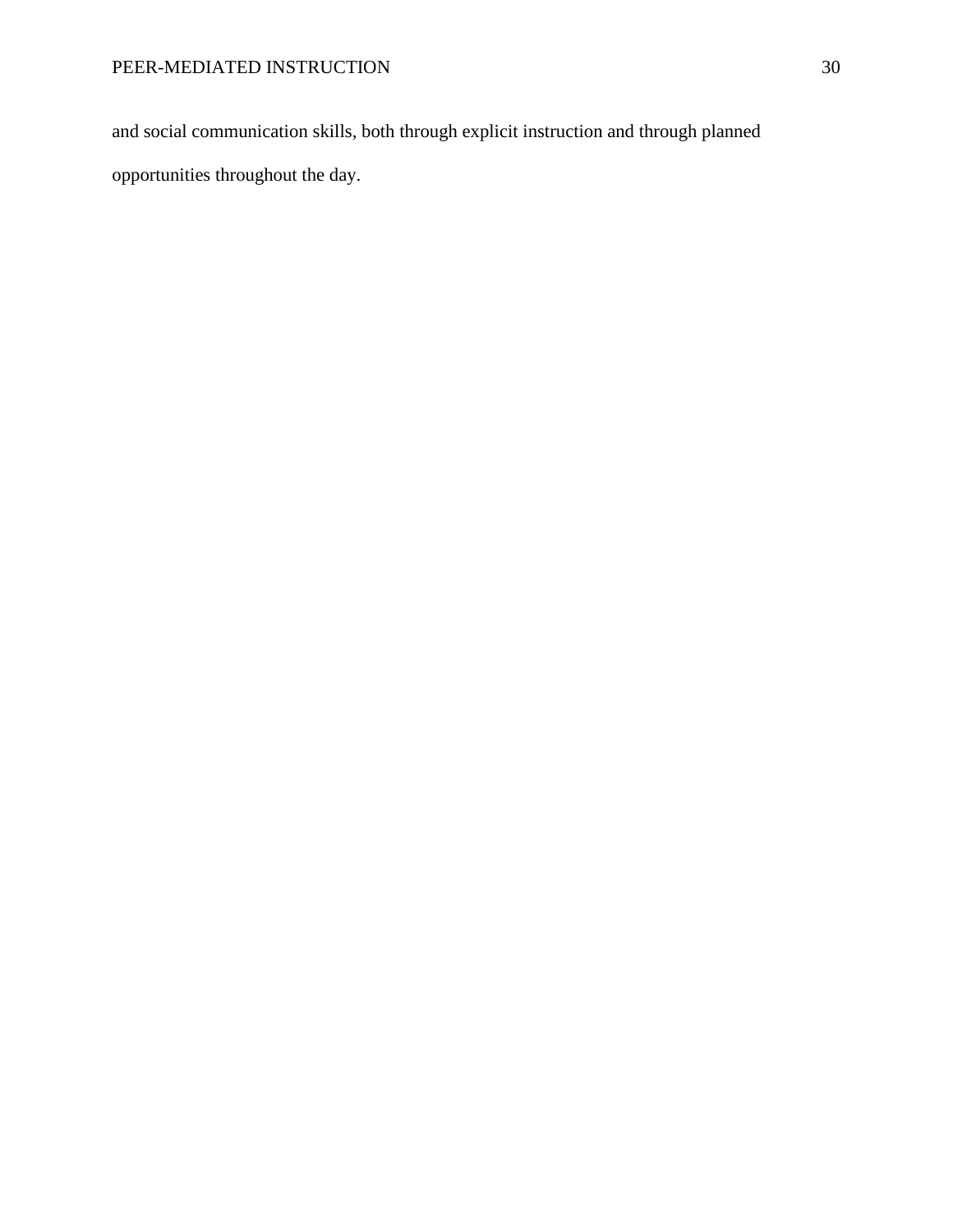and social communication skills, both through explicit instruction and through planned opportunities throughout the day.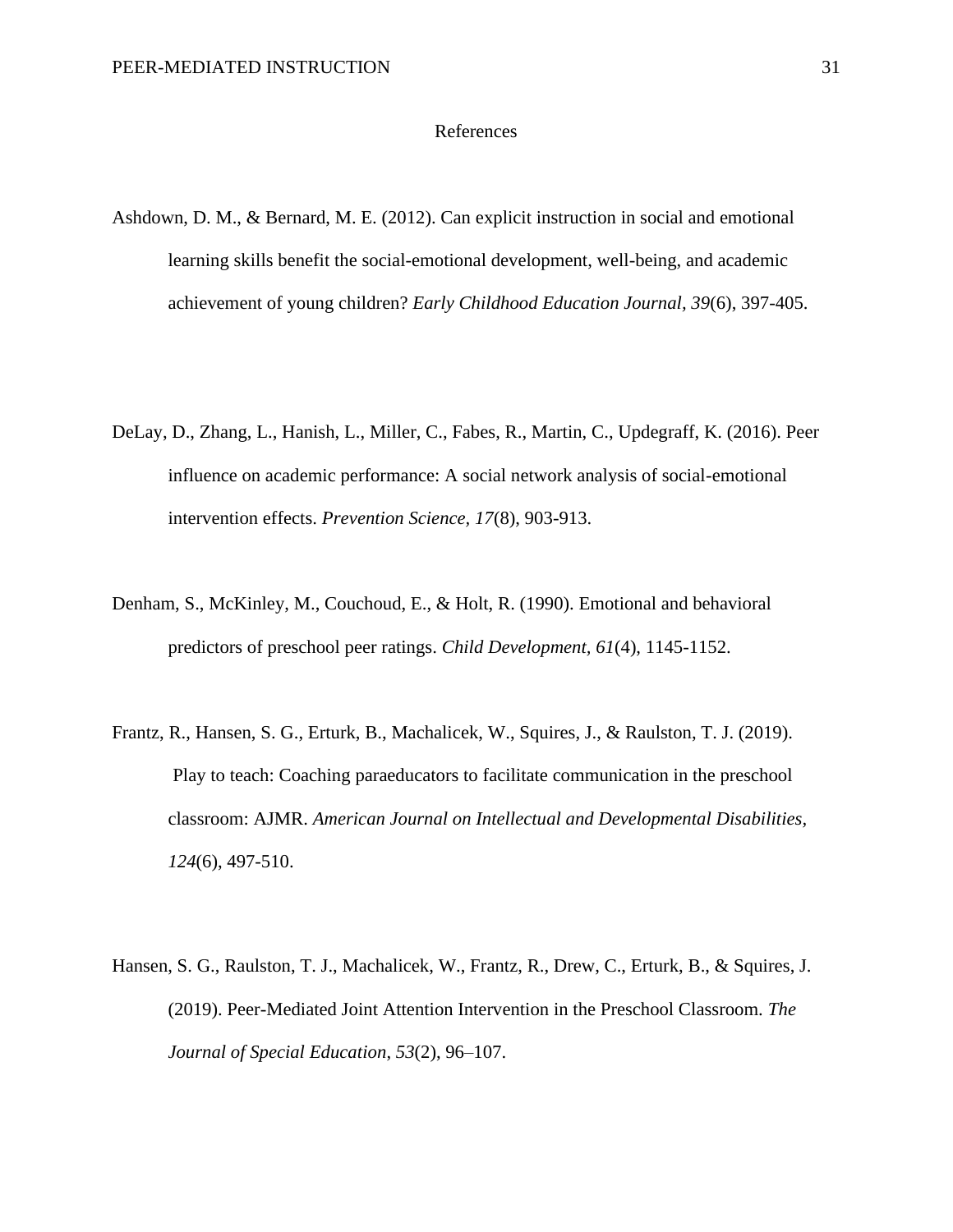#### References

- Ashdown, D. M., & Bernard, M. E. (2012). Can explicit instruction in social and emotional learning skills benefit the social-emotional development, well-being, and academic achievement of young children? *Early Childhood Education Journal, 39*(6), 397-405.
- DeLay, D., Zhang, L., Hanish, L., Miller, C., Fabes, R., Martin, C., Updegraff, K. (2016). Peer influence on academic performance: A social network analysis of social-emotional intervention effects. *Prevention Science, 17*(8), 903-913.
- Denham, S., McKinley, M., Couchoud, E., & Holt, R. (1990). Emotional and behavioral predictors of preschool peer ratings. *Child Development, 61*(4), 1145-1152.
- Frantz, R., Hansen, S. G., Erturk, B., Machalicek, W., Squires, J., & Raulston, T. J. (2019). Play to teach: Coaching paraeducators to facilitate communication in the preschool classroom: AJMR. *American Journal on Intellectual and Developmental Disabilities, 124*(6), 497-510.
- Hansen, S. G., Raulston, T. J., Machalicek, W., Frantz, R., Drew, C., Erturk, B., & Squires, J. (2019). Peer-Mediated Joint Attention Intervention in the Preschool Classroom. *The Journal of Special Education*, *53*(2), 96–107.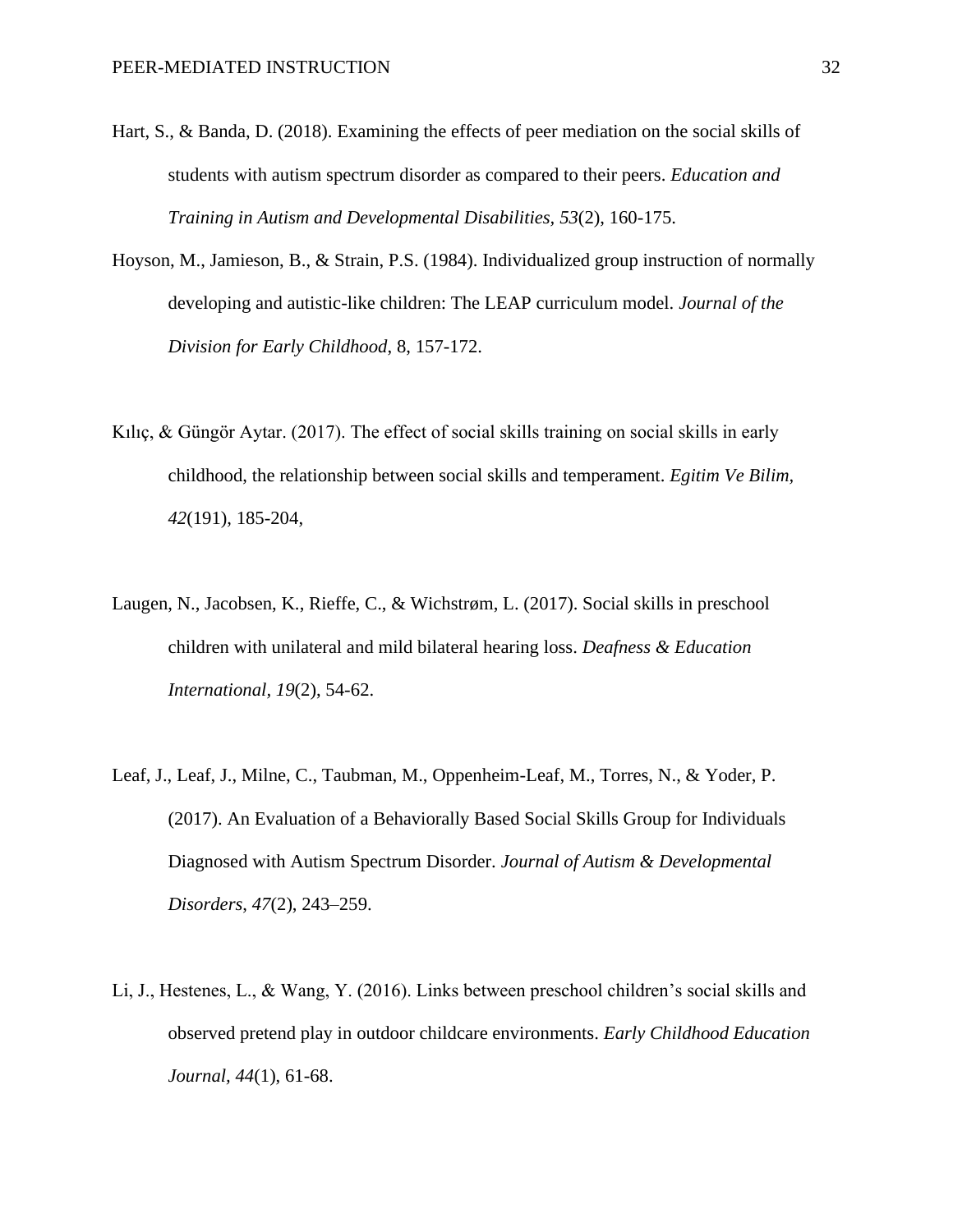- Hart, S., & Banda, D. (2018). Examining the effects of peer mediation on the social skills of students with autism spectrum disorder as compared to their peers. *Education and Training in Autism and Developmental Disabilities, 53*(2), 160-175.
- Hoyson, M., Jamieson, B., & Strain, P.S. (1984). Individualized group instruction of normally developing and autistic-like children: The LEAP curriculum model. *Journal of the Division for Early Childhood*, 8, 157-172.
- Kılıç, & Güngör Aytar. (2017). The effect of social skills training on social skills in early childhood, the relationship between social skills and temperament. *Egitim Ve Bilim, 42*(191), 185-204,
- Laugen, N., Jacobsen, K., Rieffe, C., & Wichstrøm, L. (2017). Social skills in preschool children with unilateral and mild bilateral hearing loss. *Deafness & Education International, 19*(2), 54-62.
- Leaf, J., Leaf, J., Milne, C., Taubman, M., Oppenheim-Leaf, M., Torres, N., & Yoder, P. (2017). An Evaluation of a Behaviorally Based Social Skills Group for Individuals Diagnosed with Autism Spectrum Disorder. *Journal of Autism & Developmental Disorders*, *47*(2), 243–259.
- Li, J., Hestenes, L., & Wang, Y. (2016). Links between preschool children's social skills and observed pretend play in outdoor childcare environments. *Early Childhood Education Journal, 44*(1), 61-68.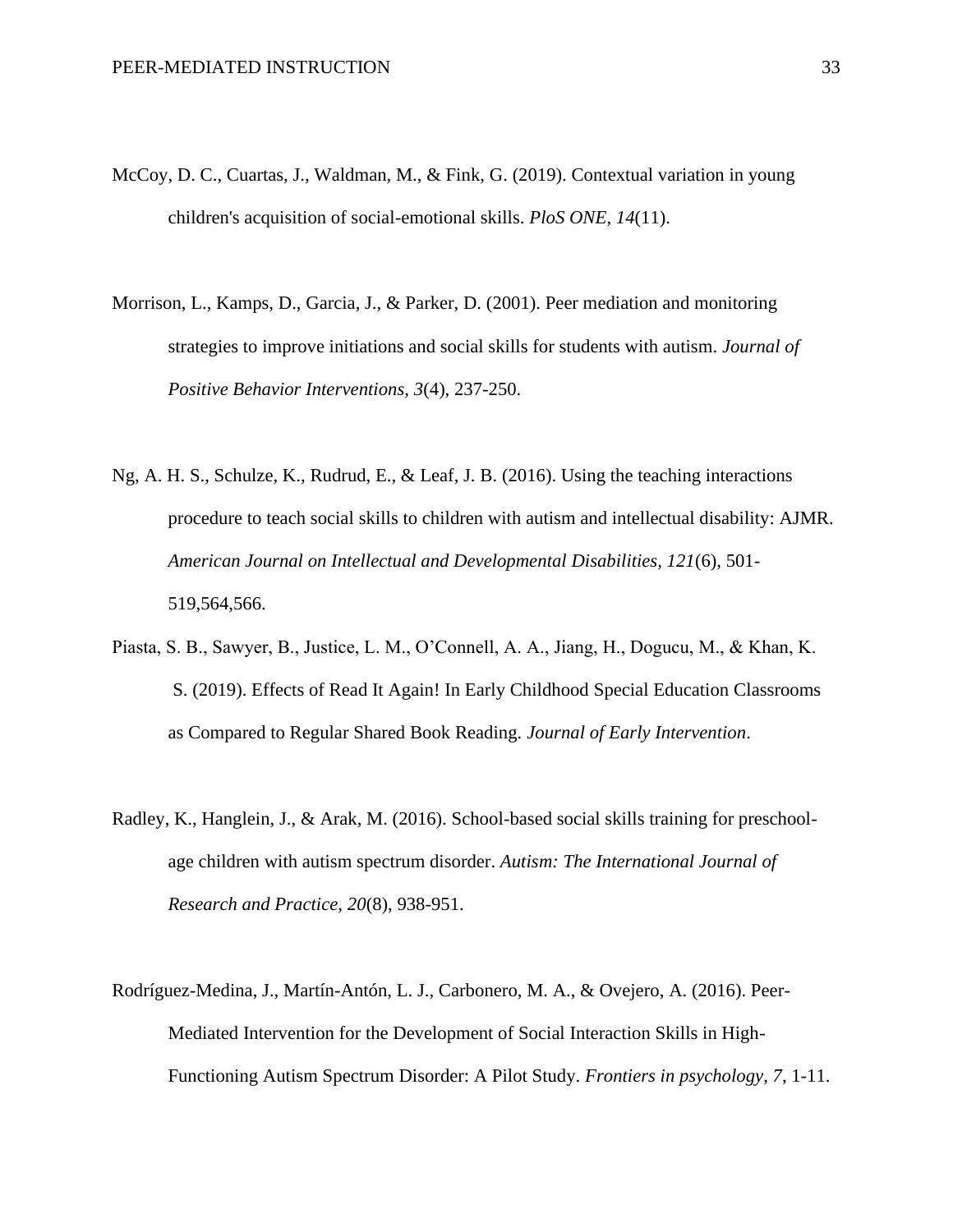- McCoy, D. C., Cuartas, J., Waldman, M., & Fink, G. (2019). Contextual variation in young children's acquisition of social-emotional skills. *PloS ONE*, *14*(11).
- Morrison, L., Kamps, D., Garcia, J., & Parker, D. (2001). Peer mediation and monitoring strategies to improve initiations and social skills for students with autism. *Journal of Positive Behavior Interventions, 3*(4), 237-250.
- Ng, A. H. S., Schulze, K., Rudrud, E., & Leaf, J. B. (2016). Using the teaching interactions procedure to teach social skills to children with autism and intellectual disability: AJMR. *American Journal on Intellectual and Developmental Disabilities, 121*(6), 501- 519,564,566.
- Piasta, S. B., Sawyer, B., Justice, L. M., O'Connell, A. A., Jiang, H., Dogucu, M., & Khan, K. S. (2019). Effects of Read It Again! In Early Childhood Special Education Classrooms as Compared to Regular Shared Book Reading. *Journal of Early Intervention*.
- Radley, K., Hanglein, J., & Arak, M. (2016). School-based social skills training for preschoolage children with autism spectrum disorder. *Autism: The International Journal of Research and Practice, 20*(8), 938-951.
- Rodríguez-Medina, J., Martín-Antón, L. J., Carbonero, M. A., & Ovejero, A. (2016). Peer-Mediated Intervention for the Development of Social Interaction Skills in High-Functioning Autism Spectrum Disorder: A Pilot Study. *Frontiers in psychology*, *7*, 1-11.